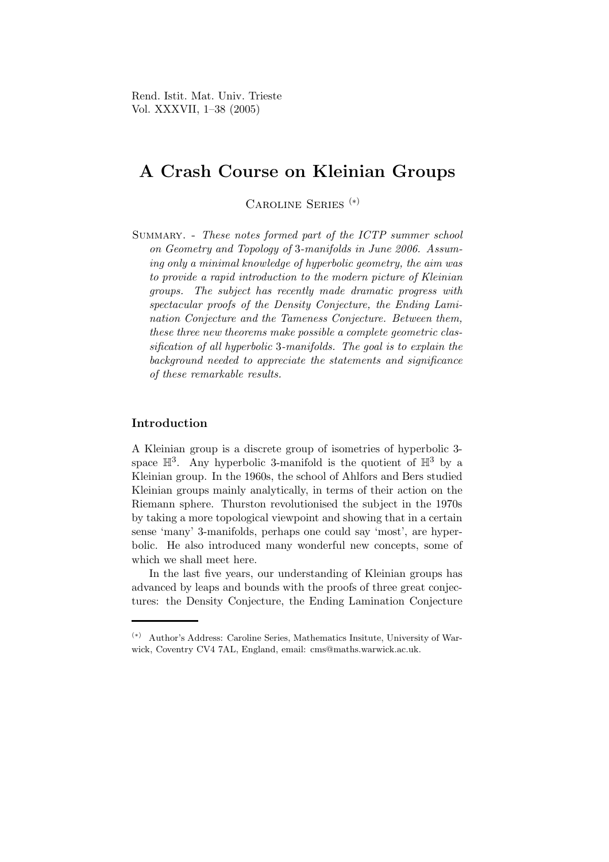Rend. Istit. Mat. Univ. Trieste Vol. XXXVII, 1–38 (2005)

# A Crash Course on Kleinian Groups

Caroline Series (∗)

Summary. - These notes formed part of the ICTP summer school on Geometry and Topology of 3-manifolds in June 2006. Assuming only a minimal knowledge of hyperbolic geometry, the aim was to provide a rapid introduction to the modern picture of Kleinian groups. The subject has recently made dramatic progress with spectacular proofs of the Density Conjecture, the Ending Lamination Conjecture and the Tameness Conjecture. Between them, these three new theorems make possible a complete geometric classification of all hyperbolic 3-manifolds. The goal is to explain the background needed to appreciate the statements and significance of these remarkable results.

## Introduction

A Kleinian group is a discrete group of isometries of hyperbolic 3 space  $\mathbb{H}^3$ . Any hyperbolic 3-manifold is the quotient of  $\mathbb{H}^3$  by a Kleinian group. In the 1960s, the school of Ahlfors and Bers studied Kleinian groups mainly analytically, in terms of their action on the Riemann sphere. Thurston revolutionised the subject in the 1970s by taking a more topological viewpoint and showing that in a certain sense 'many' 3-manifolds, perhaps one could say 'most', are hyperbolic. He also introduced many wonderful new concepts, some of which we shall meet here.

In the last five years, our understanding of Kleinian groups has advanced by leaps and bounds with the proofs of three great conjectures: the Density Conjecture, the Ending Lamination Conjecture

<sup>(</sup>∗) Author's Address: Caroline Series, Mathematics Insitute, University of Warwick, Coventry CV4 7AL, England, email: cms@maths.warwick.ac.uk.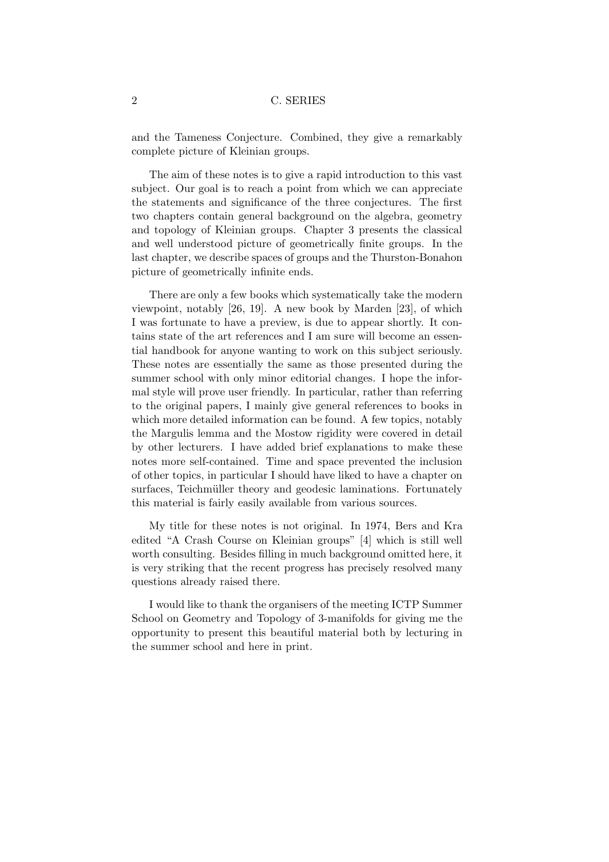and the Tameness Conjecture. Combined, they give a remarkably complete picture of Kleinian groups.

The aim of these notes is to give a rapid introduction to this vast subject. Our goal is to reach a point from which we can appreciate the statements and significance of the three conjectures. The first two chapters contain general background on the algebra, geometry and topology of Kleinian groups. Chapter 3 presents the classical and well understood picture of geometrically finite groups. In the last chapter, we describe spaces of groups and the Thurston-Bonahon picture of geometrically infinite ends.

There are only a few books which systematically take the modern viewpoint, notably [26, 19]. A new book by Marden [23], of which I was fortunate to have a preview, is due to appear shortly. It contains state of the art references and I am sure will become an essential handbook for anyone wanting to work on this subject seriously. These notes are essentially the same as those presented during the summer school with only minor editorial changes. I hope the informal style will prove user friendly. In particular, rather than referring to the original papers, I mainly give general references to books in which more detailed information can be found. A few topics, notably the Margulis lemma and the Mostow rigidity were covered in detail by other lecturers. I have added brief explanations to make these notes more self-contained. Time and space prevented the inclusion of other topics, in particular I should have liked to have a chapter on surfaces, Teichmüller theory and geodesic laminations. Fortunately this material is fairly easily available from various sources.

My title for these notes is not original. In 1974, Bers and Kra edited "A Crash Course on Kleinian groups" [4] which is still well worth consulting. Besides filling in much background omitted here, it is very striking that the recent progress has precisely resolved many questions already raised there.

I would like to thank the organisers of the meeting ICTP Summer School on Geometry and Topology of 3-manifolds for giving me the opportunity to present this beautiful material both by lecturing in the summer school and here in print.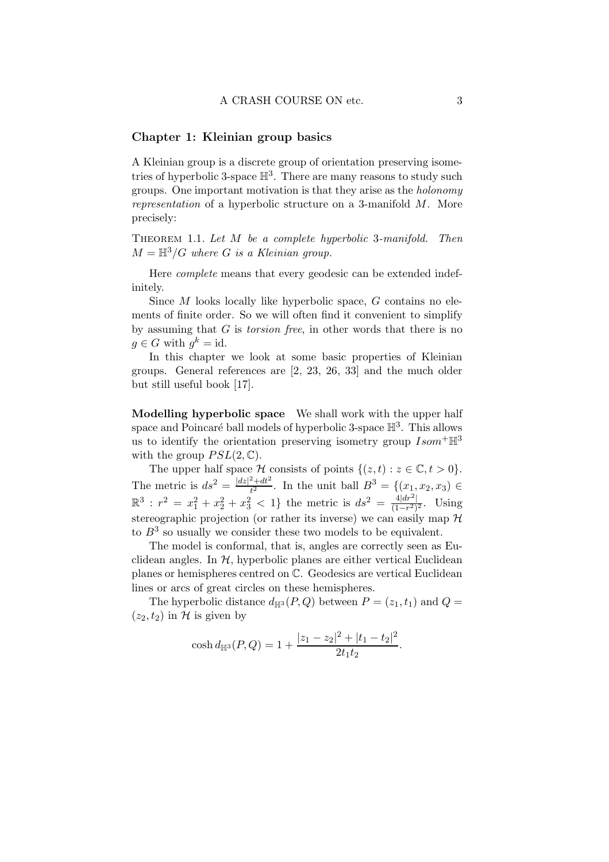#### Chapter 1: Kleinian group basics

A Kleinian group is a discrete group of orientation preserving isometries of hyperbolic 3-space  $\mathbb{H}^3$ . There are many reasons to study such groups. One important motivation is that they arise as the holonomy representation of a hyperbolic structure on a 3-manifold M. More precisely:

THEOREM 1.1. Let  $M$  be a complete hyperbolic 3-manifold. Then  $M = \mathbb{H}^3/G$  where G is a Kleinian group.

Here complete means that every geodesic can be extended indefinitely.

Since M looks locally like hyperbolic space, G contains no elements of finite order. So we will often find it convenient to simplify by assuming that  $G$  is *torsion free*, in other words that there is no  $g \in G$  with  $g^k = id$ .

In this chapter we look at some basic properties of Kleinian groups. General references are [2, 23, 26, 33] and the much older but still useful book [17].

Modelling hyperbolic space We shall work with the upper half space and Poincaré ball models of hyperbolic 3-space  $\mathbb{H}^3$ . This allows us to identify the orientation preserving isometry group  $Isom^+\mathbb{H}^3$ with the group  $PSL(2,\mathbb{C})$ .

The upper half space H consists of points  $\{(z,t): z \in \mathbb{C}, t > 0\}.$ The metric is  $ds^2 = \frac{|dz|^2 + dt^2}{t^2}$  $t^{\frac{2}{2}+dt^2}$ . In the unit ball  $B^3 = \{(x_1, x_2, x_3) \in$  $\mathbb{R}^3$ :  $r^2 = x_1^2 + x_2^2 + x_3^2 < 1$ } the metric is  $ds^2 = \frac{4|dr^2|}{(1-r^2)}$  $\frac{4|ar^{-}|}{(1-r^2)^2}$ . Using stereographic projection (or rather its inverse) we can easily map  $\mathcal H$ to  $B<sup>3</sup>$  so usually we consider these two models to be equivalent.

The model is conformal, that is, angles are correctly seen as Euclidean angles. In  $H$ , hyperbolic planes are either vertical Euclidean planes or hemispheres centred on C. Geodesics are vertical Euclidean lines or arcs of great circles on these hemispheres.

The hyperbolic distance  $d_{\mathbb{H}^3}(P,Q)$  between  $P = (z_1,t_1)$  and  $Q =$  $(z_2,t_2)$  in H is given by

$$
\cosh d_{\mathbb{H}^3}(P,Q) = 1 + \frac{|z_1 - z_2|^2 + |t_1 - t_2|^2}{2t_1t_2}.
$$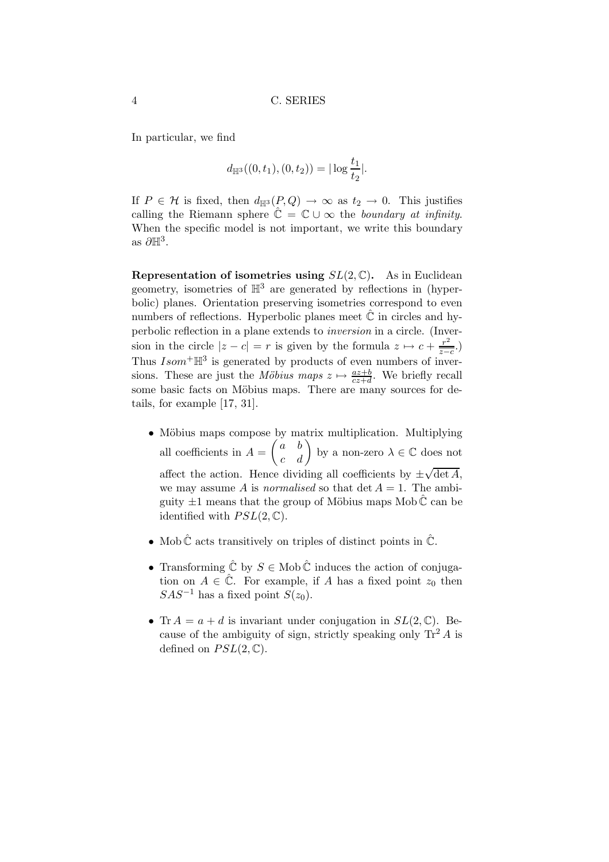In particular, we find

$$
d_{\mathbb{H}^3}((0, t_1), (0, t_2)) = |\log \frac{t_1}{t_2}|.
$$

If  $P \in \mathcal{H}$  is fixed, then  $d_{\mathbb{H}^3}(P,Q) \to \infty$  as  $t_2 \to 0$ . This justifies calling the Riemann sphere  $\hat{\mathbb{C}} = \mathbb{C} \cup \infty$  the boundary at infinity. When the specific model is not important, we write this boundary as  $\partial \mathbb{H}^3$ .

Representation of isometries using  $SL(2,\mathbb{C})$ . As in Euclidean geometry, isometries of  $\mathbb{H}^3$  are generated by reflections in (hyperbolic) planes. Orientation preserving isometries correspond to even numbers of reflections. Hyperbolic planes meet  $\ddot{\mathbb{C}}$  in circles and hyperbolic reflection in a plane extends to inversion in a circle. (Inversion in the circle  $|z - c| = r$  is given by the formula  $z \mapsto c + \frac{r^2}{z-}$  $\frac{r^2}{z-c}$ .) Thus  $Isom^+\mathbb{H}^3$  is generated by products of even numbers of inversions. These are just the *Möbius maps*  $z \mapsto \frac{az+b}{cz+d}$ . We briefly recall some basic facts on Möbius maps. There are many sources for details, for example [17, 31].

- Möbius maps compose by matrix multiplication. Multiplying all coefficients in  $A = \begin{pmatrix} a & b \\ c & d \end{pmatrix}$  by a non-zero  $\lambda \in \mathbb{C}$  does not affect the action. Hence dividing all coefficients by  $\pm \sqrt{\det A}$ , we may assume A is *normalised* so that  $\det A = 1$ . The ambiguity  $\pm 1$  means that the group of Möbius maps Mob  $\mathbb C$  can be identified with  $PSL(2,\mathbb{C})$ .
- Mob  $\hat{\mathbb{C}}$  acts transitively on triples of distinct points in  $\hat{\mathbb{C}}$ .
- Transforming  $\hat{C}$  by  $S \in \text{Mob} \hat{C}$  induces the action of conjugation on  $A \in \hat{\mathbb{C}}$ . For example, if A has a fixed point  $z_0$  then  $SAS^{-1}$  has a fixed point  $S(z_0)$ .
- Tr  $A = a + d$  is invariant under conjugation in  $SL(2, \mathbb{C})$ . Because of the ambiguity of sign, strictly speaking only  $\text{Tr}^2 A$  is defined on  $PSL(2, \mathbb{C})$ .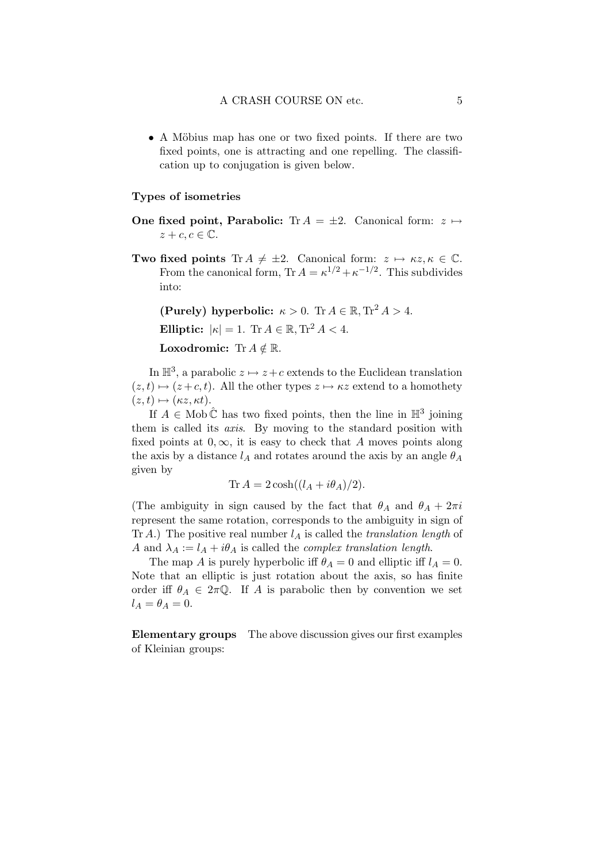• A Möbius map has one or two fixed points. If there are two fixed points, one is attracting and one repelling. The classification up to conjugation is given below.

#### Types of isometries

- One fixed point, Parabolic: Tr  $A = \pm 2$ . Canonical form:  $z \mapsto$  $z+c,c \in \mathbb{C}$ .
- **Two fixed points** Tr  $A \neq \pm 2$ . Canonical form:  $z \mapsto \kappa z, \kappa \in \mathbb{C}$ . From the canonical form,  $\text{Tr } A = \kappa^{1/2} + \kappa^{-1/2}$ . This subdivides into:

(Purely) hyperbolic:  $\kappa > 0$ . Tr  $A \in \mathbb{R}$ , Tr<sup>2</sup>  $A > 4$ .

Elliptic:  $|\kappa| = 1$ . Tr  $A \in \mathbb{R}$ , Tr<sup>2</sup>  $A < 4$ .

Loxodromic: Tr $A \notin \mathbb{R}$ .

In  $\mathbb{H}^3$ , a parabolic  $z \mapsto z+c$  extends to the Euclidean translation  $(z,t) \mapsto (z + c,t)$ . All the other types  $z \mapsto \kappa z$  extend to a homothety  $(z,t) \mapsto (\kappa z, \kappa t).$ 

If  $A \in \text{Mob}\,\hat{\mathbb{C}}$  has two fixed points, then the line in  $\mathbb{H}^3$  joining them is called its axis. By moving to the standard position with fixed points at  $0, \infty$ , it is easy to check that A moves points along the axis by a distance  $l_A$  and rotates around the axis by an angle  $\theta_A$ given by

$$
\text{Tr}\,A = 2\cosh((l_A + i\theta_A)/2).
$$

(The ambiguity in sign caused by the fact that  $\theta_A$  and  $\theta_A + 2\pi i$ represent the same rotation, corresponds to the ambiguity in sign of Tr A.) The positive real number  $l_A$  is called the translation length of A and  $\lambda_A := l_A + i\theta_A$  is called the *complex translation length*.

The map A is purely hyperbolic iff  $\theta_A = 0$  and elliptic iff  $l_A = 0$ . Note that an elliptic is just rotation about the axis, so has finite order iff  $\theta_A \in 2\pi\mathbb{Q}$ . If A is parabolic then by convention we set  $l_A = \theta_A = 0.$ 

Elementary groups The above discussion gives our first examples of Kleinian groups: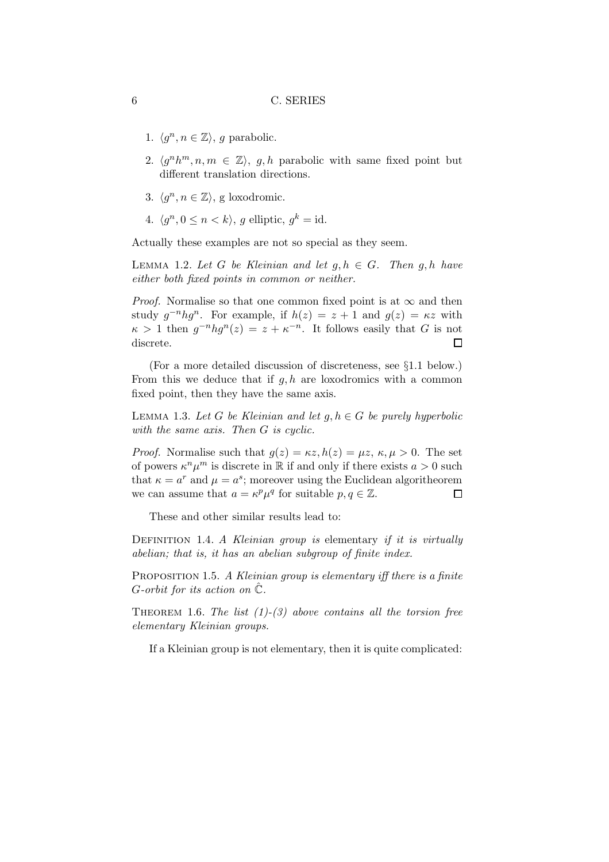- 1.  $\langle g^n, n \in \mathbb{Z} \rangle$ , g parabolic.
- 2.  $\langle g^n h^m, n, m \in \mathbb{Z} \rangle$ , g,h parabolic with same fixed point but different translation directions.
- 3.  $\langle g^n, n \in \mathbb{Z} \rangle$ , g loxodromic.
- 4.  $\langle g^n, 0 \le n \langle k \rangle$ , g elliptic,  $g^k = id$ .

Actually these examples are not so special as they seem.

LEMMA 1.2. Let G be Kleinian and let  $g, h \in G$ . Then  $g, h$  have either both fixed points in common or neither.

*Proof.* Normalise so that one common fixed point is at  $\infty$  and then study  $g^{-n}hg^n$ . For example, if  $h(z) = z + 1$  and  $g(z) = \kappa z$  with  $\kappa > 1$  then  $g^{-n} h g^{n}(z) = z + \kappa^{-n}$ . It follows easily that G is not discrete.  $\Box$ 

(For a more detailed discussion of discreteness, see §1.1 below.) From this we deduce that if  $q, h$  are loxodromics with a common fixed point, then they have the same axis.

LEMMA 1.3. Let G be Kleinian and let  $g, h \in G$  be purely hyperbolic with the same axis. Then G is cyclic.

*Proof.* Normalise such that  $g(z) = \kappa z, h(z) = \mu z, \kappa, \mu > 0$ . The set of powers  $\kappa^n \mu^m$  is discrete in  $\mathbb R$  if and only if there exists  $a > 0$  such that  $\kappa = a^r$  and  $\mu = a^s$ ; moreover using the Euclidean algoritheorem we can assume that  $a = \kappa^p \mu^q$  for suitable  $p, q \in \mathbb{Z}$ .  $\Box$ 

These and other similar results lead to:

DEFINITION 1.4. A Kleinian group is elementary if it is virtually abelian; that is, it has an abelian subgroup of finite index.

PROPOSITION 1.5. A Kleinian group is elementary iff there is a finite G-orbit for its action on  $\hat{\mathbb{C}}$ .

THEOREM 1.6. The list  $(1)-(3)$  above contains all the torsion free elementary Kleinian groups.

If a Kleinian group is not elementary, then it is quite complicated: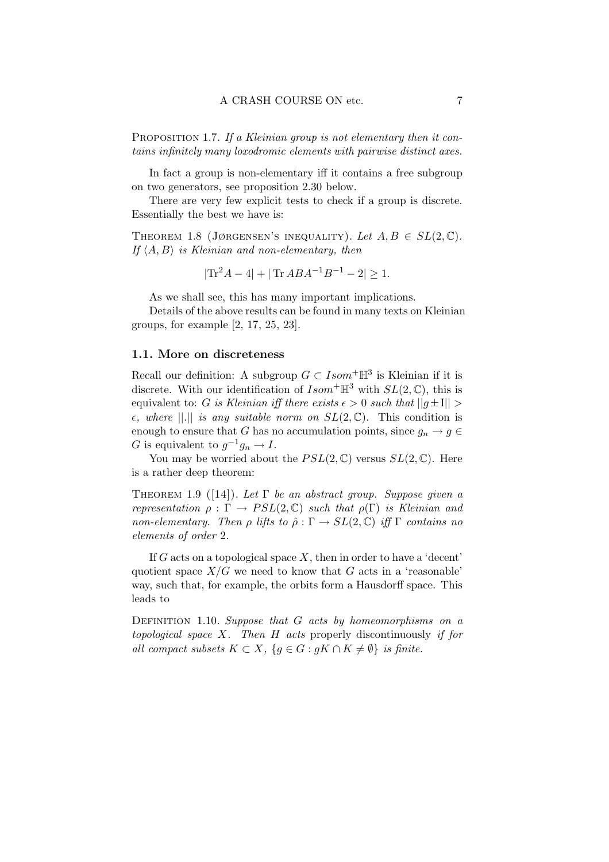PROPOSITION 1.7. If a Kleinian group is not elementary then it contains infinitely many loxodromic elements with pairwise distinct axes.

In fact a group is non-elementary iff it contains a free subgroup on two generators, see proposition 2.30 below.

There are very few explicit tests to check if a group is discrete. Essentially the best we have is:

THEOREM 1.8 (JØRGENSEN'S INEQUALITY). Let  $A, B \in SL(2, \mathbb{C})$ . If  $\langle A,B \rangle$  is Kleinian and non-elementary, then

$$
|\text{Tr}^2 A - 4| + |\text{Tr } A B A^{-1} B^{-1} - 2| \ge 1.
$$

As we shall see, this has many important implications.

Details of the above results can be found in many texts on Kleinian groups, for example [2, 17, 25, 23].

## 1.1. More on discreteness

Recall our definition: A subgroup  $G \subset Isom^+\mathbb{H}^3$  is Kleinian if it is discrete. With our identification of  $Isom^+\mathbb{H}^3$  with  $SL(2,\mathbb{C})$ , this is equivalent to: G is Kleinian iff there exists  $\epsilon > 0$  such that  $||g \pm 1|| >$  $\epsilon$ , where ||.|| is any suitable norm on  $SL(2,\mathbb{C})$ . This condition is enough to ensure that G has no accumulation points, since  $g_n \to g \in$ G is equivalent to  $g^{-1}g_n \to I$ .

You may be worried about the  $PSL(2,\mathbb{C})$  versus  $SL(2,\mathbb{C})$ . Here is a rather deep theorem:

THEOREM 1.9 ([14]). Let  $\Gamma$  be an abstract group. Suppose given a representation  $\rho : \Gamma \to PSL(2, \mathbb{C})$  such that  $\rho(\Gamma)$  is Kleinian and non-elementary. Then  $\rho$  lifts to  $\hat{\rho} : \Gamma \to SL(2,\mathbb{C})$  iff  $\Gamma$  contains no elements of order 2.

If G acts on a topological space  $X$ , then in order to have a 'decent' quotient space  $X/G$  we need to know that G acts in a 'reasonable' way, such that, for example, the orbits form a Hausdorff space. This leads to

DEFINITION 1.10. Suppose that  $G$  acts by homeomorphisms on a topological space  $X$ . Then  $H$  acts properly discontinuously if for all compact subsets  $K \subset X$ ,  ${g \in G : gK \cap K \neq \emptyset}$  is finite.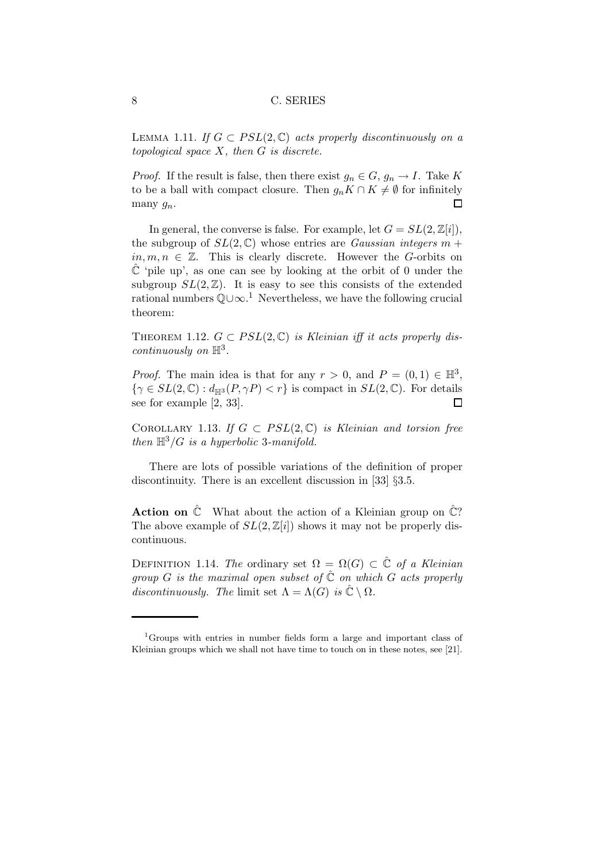LEMMA 1.11. If  $G \subset PSL(2,\mathbb{C})$  acts properly discontinuously on a topological space  $X$ , then  $G$  is discrete.

*Proof.* If the result is false, then there exist  $g_n \in G$ ,  $g_n \to I$ . Take K to be a ball with compact closure. Then  $g_n K \cap K \neq \emptyset$  for infinitely many  $g_n$ . many  $g_n$ .

In general, the converse is false. For example, let  $G = SL(2, \mathbb{Z}[i]),$ the subgroup of  $SL(2,\mathbb{C})$  whose entries are *Gaussian integers*  $m +$  $in, m, n \in \mathbb{Z}$ . This is clearly discrete. However the G-orbits on  $\mathbb C$  'pile up', as one can see by looking at the orbit of 0 under the subgroup  $SL(2,\mathbb{Z})$ . It is easy to see this consists of the extended rational numbers  $\mathbb{Q} \cup \infty$ .<sup>1</sup> Nevertheless, we have the following crucial theorem:

THEOREM 1.12.  $G \subset PSL(2,\mathbb{C})$  is Kleinian iff it acts properly dis $continuously on \mathbb{H}^3$ .

*Proof.* The main idea is that for any  $r > 0$ , and  $P = (0, 1) \in \mathbb{H}^3$ ,  $\{\gamma \in SL(2,\mathbb{C}) : d_{\mathbb{H}^3}(P,\gamma P) < r\}$  is compact in  $SL(2,\mathbb{C})$ . For details see for example [2, 33]. see for example [2, 33].

COROLLARY 1.13. If  $G \subset PSL(2,\mathbb{C})$  is Kleinian and torsion free then  $\mathbb{H}^3/G$  is a hyperbolic 3-manifold.

There are lots of possible variations of the definition of proper discontinuity. There is an excellent discussion in [33] §3.5.

**Action on**  $\hat{\mathbb{C}}$  What about the action of a Kleinian group on  $\hat{\mathbb{C}}$ ? The above example of  $SL(2,\mathbb{Z}[i])$  shows it may not be properly discontinuous.

DEFINITION 1.14. The ordinary set  $\Omega = \Omega(G) \subset \mathbb{C}$  of a Kleinian group G is the maximal open subset of  $\hat{\mathbb{C}}$  on which G acts properly discontinuously. The limit set  $\Lambda = \Lambda(G)$  is  $\hat{\mathbb{C}} \setminus \Omega$ .

<sup>1</sup>Groups with entries in number fields form a large and important class of Kleinian groups which we shall not have time to touch on in these notes, see [21].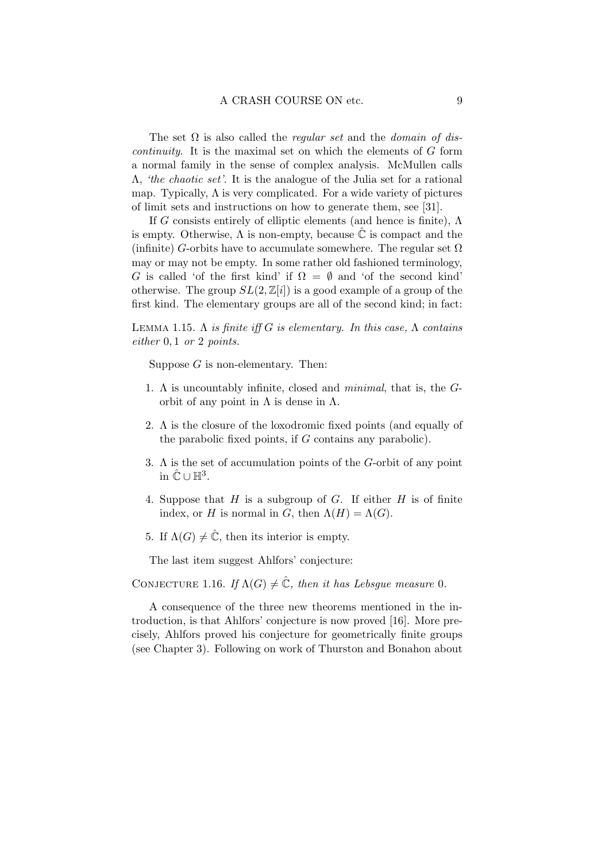The set  $\Omega$  is also called the *regular set* and the *domain of discontinuity*. It is the maximal set on which the elements of  $G$  form a normal family in the sense of complex analysis. McMullen calls Λ, 'the chaotic set'. It is the analogue of the Julia set for a rational map. Typically,  $\Lambda$  is very complicated. For a wide variety of pictures of limit sets and instructions on how to generate them, see [31].

If G consists entirely of elliptic elements (and hence is finite),  $\Lambda$ is empty. Otherwise,  $\Lambda$  is non-empty, because  $\hat{\mathbb{C}}$  is compact and the (infinite) G-orbits have to accumulate somewhere. The regular set  $\Omega$ may or may not be empty. In some rather old fashioned terminology, G is called 'of the first kind' if  $\Omega = \emptyset$  and 'of the second kind' otherwise. The group  $SL(2,\mathbb{Z}[i])$  is a good example of a group of the first kind. The elementary groups are all of the second kind; in fact:

LEMMA 1.15.  $\Lambda$  is finite iff G is elementary. In this case,  $\Lambda$  contains either 0, 1 or 2 points.

Suppose  $G$  is non-elementary. Then:

- 1. Λ is uncountably infinite, closed and minimal, that is, the Gorbit of any point in  $\Lambda$  is dense in  $\Lambda$ .
- 2. Λ is the closure of the loxodromic fixed points (and equally of the parabolic fixed points, if G contains any parabolic).
- 3. Λ is the set of accumulation points of the G-orbit of any point in  $\hat{\mathbb{C}} \cup \mathbb{H}^3$ .
- 4. Suppose that  $H$  is a subgroup of  $G$ . If either  $H$  is of finite index, or H is normal in G, then  $\Lambda(H) = \Lambda(G)$ .
- 5. If  $\Lambda(G) \neq \hat{\mathbb{C}}$ , then its interior is empty.

The last item suggest Ahlfors' conjecture:

CONJECTURE 1.16. If  $\Lambda(G) \neq \hat{\mathbb{C}}$ , then it has Lebsgue measure 0.

A consequence of the three new theorems mentioned in the introduction, is that Ahlfors' conjecture is now proved [16]. More precisely, Ahlfors proved his conjecture for geometrically finite groups (see Chapter 3). Following on work of Thurston and Bonahon about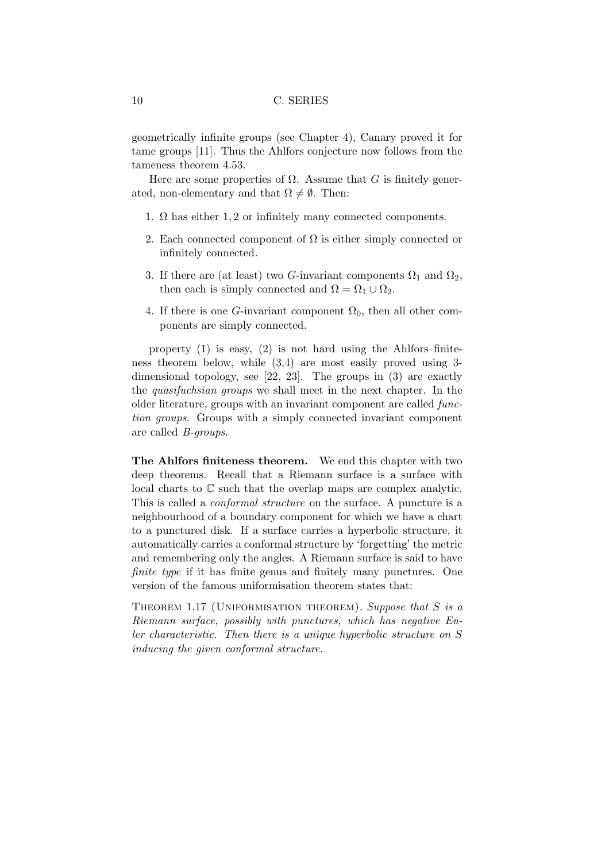geometrically infinite groups (see Chapter 4), Canary proved it for tame groups [11]. Thus the Ahlfors conjecture now follows from the tameness theorem 4.53.

Here are some properties of  $\Omega$ . Assume that G is finitely generated, non-elementary and that  $\Omega \neq \emptyset$ . Then:

- 1.  $\Omega$  has either 1, 2 or infinitely many connected components.
- 2. Each connected component of  $\Omega$  is either simply connected or infinitely connected.
- 3. If there are (at least) two G-invariant components  $\Omega_1$  and  $\Omega_2$ , then each is simply connected and  $\Omega = \Omega_1 \cup \Omega_2$ .
- 4. If there is one G-invariant component  $\Omega_0$ , then all other components are simply connected.

property (1) is easy, (2) is not hard using the Ahlfors finiteness theorem below, while (3,4) are most easily proved using 3 dimensional topology, see [22, 23]. The groups in (3) are exactly the quasifuchsian groups we shall meet in the next chapter. In the older literature, groups with an invariant component are called function groups. Groups with a simply connected invariant component are called B-groups.

The Ahlfors finiteness theorem. We end this chapter with two deep theorems. Recall that a Riemann surface is a surface with local charts to C such that the overlap maps are complex analytic. This is called a conformal structure on the surface. A puncture is a neighbourhood of a boundary component for which we have a chart to a punctured disk. If a surface carries a hyperbolic structure, it automatically carries a conformal structure by 'forgetting' the metric and remembering only the angles. A Riemann surface is said to have finite type if it has finite genus and finitely many punctures. One version of the famous uniformisation theorem states that:

THEOREM 1.17 (UNIFORMISATION THEOREM). Suppose that S is a Riemann surface, possibly with punctures, which has negative Euler characteristic. Then there is a unique hyperbolic structure on S inducing the given conformal structure.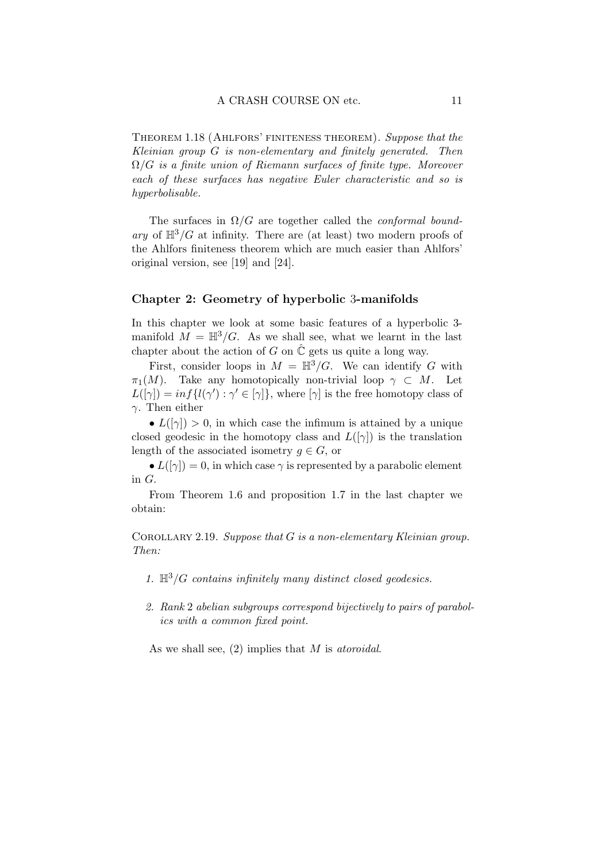Theorem 1.18 (Ahlfors' finiteness theorem). Suppose that the Kleinian group G is non-elementary and finitely generated. Then  $\Omega/G$  is a finite union of Riemann surfaces of finite type. Moreover each of these surfaces has negative Euler characteristic and so is hyperbolisable.

The surfaces in  $\Omega/G$  are together called the *conformal bound*ary of  $\mathbb{H}^3/G$  at infinity. There are (at least) two modern proofs of the Ahlfors finiteness theorem which are much easier than Ahlfors' original version, see [19] and [24].

#### Chapter 2: Geometry of hyperbolic 3-manifolds

In this chapter we look at some basic features of a hyperbolic 3 manifold  $M = \mathbb{H}^3/G$ . As we shall see, what we learnt in the last chapter about the action of G on  $\tilde{C}$  gets us quite a long way.

First, consider loops in  $M = \mathbb{H}^3/G$ . We can identify G with  $\pi_1(M)$ . Take any homotopically non-trivial loop  $\gamma \subset M$ . Let  $L([\gamma]) = \inf \{ l(\gamma') : \gamma' \in [\gamma] \}$ , where  $[\gamma]$  is the free homotopy class of γ. Then either

•  $L([\gamma]) > 0$ , in which case the infimum is attained by a unique closed geodesic in the homotopy class and  $L([\gamma])$  is the translation length of the associated isometry  $g \in G$ , or

•  $L([\gamma]) = 0$ , in which case  $\gamma$  is represented by a parabolic element in G.

From Theorem 1.6 and proposition 1.7 in the last chapter we obtain:

COROLLARY 2.19. Suppose that  $G$  is a non-elementary Kleinian group. Then:

- 1.  $\mathbb{H}^3/G$  contains infinitely many distinct closed geodesics.
- 2. Rank 2 abelian subgroups correspond bijectively to pairs of parabolics with a common fixed point.

As we shall see,  $(2)$  implies that M is atoroidal.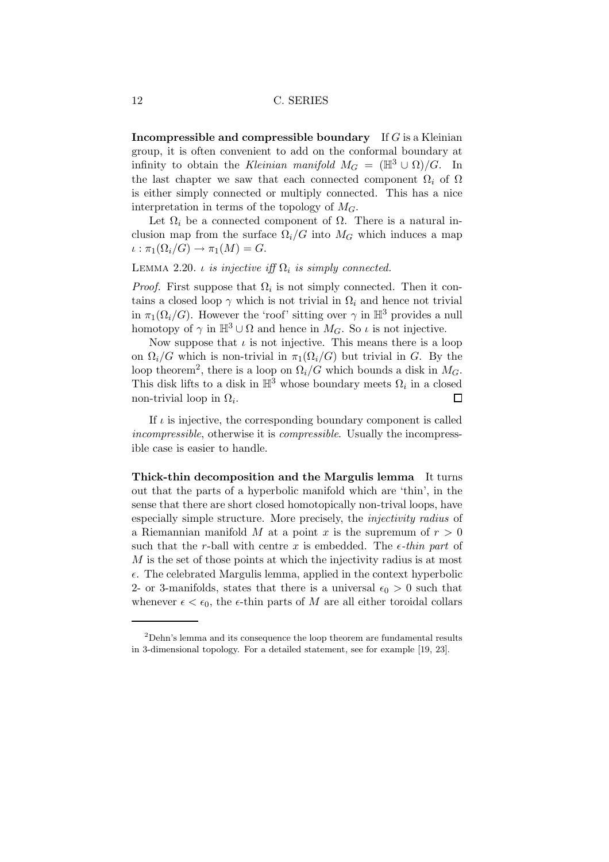**Incompressible and compressible boundary** If  $G$  is a Kleinian group, it is often convenient to add on the conformal boundary at infinity to obtain the Kleinian manifold  $M_G = (\mathbb{H}^3 \cup \Omega)/G$ . In the last chapter we saw that each connected component  $\Omega_i$  of  $\Omega$ is either simply connected or multiply connected. This has a nice interpretation in terms of the topology of  $M_G$ .

Let  $\Omega_i$  be a connected component of  $\Omega$ . There is a natural inclusion map from the surface  $\Omega_i/G$  into  $M_G$  which induces a map  $\iota : \pi_1(\Omega_i/G) \to \pi_1(M) = G.$ 

## LEMMA 2.20. *ι* is injective iff  $\Omega_i$  is simply connected.

*Proof.* First suppose that  $\Omega_i$  is not simply connected. Then it contains a closed loop  $\gamma$  which is not trivial in  $\Omega_i$  and hence not trivial in  $\pi_1(\Omega_i/G)$ . However the 'roof' sitting over  $\gamma$  in  $\mathbb{H}^3$  provides a null homotopy of  $\gamma$  in  $\mathbb{H}^3 \cup \Omega$  and hence in  $M_G$ . So  $\iota$  is not injective.

Now suppose that  $\iota$  is not injective. This means there is a loop on  $\Omega_i/G$  which is non-trivial in  $\pi_1(\Omega_i/G)$  but trivial in G. By the loop theorem<sup>2</sup>, there is a loop on  $\Omega_i/G$  which bounds a disk in  $M_G$ . This disk lifts to a disk in  $\mathbb{H}^3$  whose boundary meets  $\Omega_i$  in a closed non-trivial loop in  $\Omega_i$ .  $\Box$ 

If  $\iota$  is injective, the corresponding boundary component is called incompressible, otherwise it is compressible. Usually the incompressible case is easier to handle.

Thick-thin decomposition and the Margulis lemma It turns out that the parts of a hyperbolic manifold which are 'thin', in the sense that there are short closed homotopically non-trival loops, have especially simple structure. More precisely, the injectivity radius of a Riemannian manifold M at a point x is the supremum of  $r > 0$ such that the r-ball with centre x is embedded. The  $\epsilon$ -thin part of M is the set of those points at which the injectivity radius is at most  $\epsilon$ . The celebrated Margulis lemma, applied in the context hyperbolic 2- or 3-manifolds, states that there is a universal  $\epsilon_0 > 0$  such that whenever  $\epsilon < \epsilon_0$ , the  $\epsilon$ -thin parts of M are all either toroidal collars

<sup>2</sup>Dehn's lemma and its consequence the loop theorem are fundamental results in 3-dimensional topology. For a detailed statement, see for example [19, 23].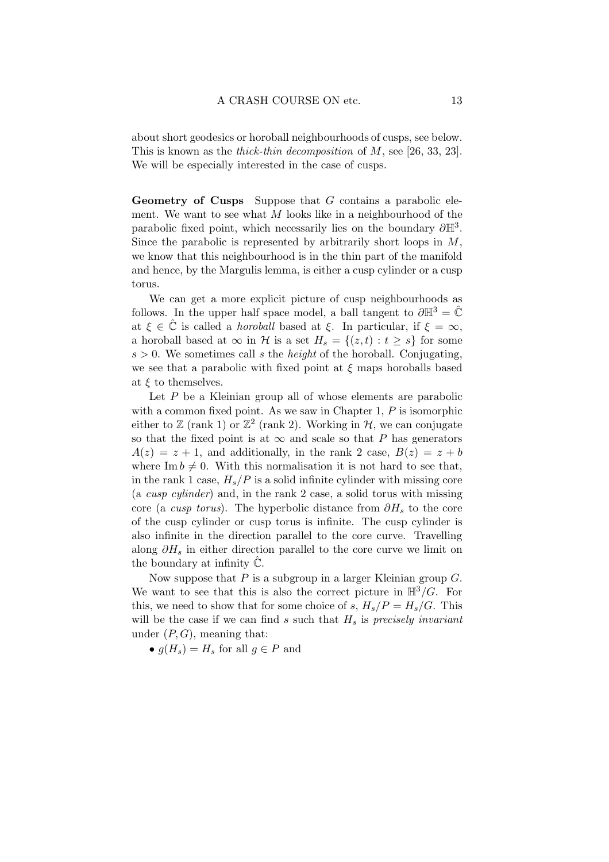about short geodesics or horoball neighbourhoods of cusps, see below. This is known as the *thick-thin decomposition* of M, see [26, 33, 23]. We will be especially interested in the case of cusps.

Geometry of Cusps Suppose that G contains a parabolic element. We want to see what  $M$  looks like in a neighbourhood of the parabolic fixed point, which necessarily lies on the boundary  $\partial \mathbb{H}^3$ . Since the parabolic is represented by arbitrarily short loops in  $M$ , we know that this neighbourhood is in the thin part of the manifold and hence, by the Margulis lemma, is either a cusp cylinder or a cusp torus.

We can get a more explicit picture of cusp neighbourhoods as follows. In the upper half space model, a ball tangent to  $\partial \mathbb{H}^3 = \hat{\mathbb{C}}$ at  $\xi \in \hat{\mathbb{C}}$  is called a *horoball* based at  $\xi$ . In particular, if  $\xi = \infty$ , a horoball based at  $\infty$  in H is a set  $H_s = \{(z,t) : t \geq s\}$  for some  $s > 0$ . We sometimes call s the *height* of the horoball. Conjugating, we see that a parabolic with fixed point at  $\xi$  maps horoballs based at  $\xi$  to themselves.

Let  $P$  be a Kleinian group all of whose elements are parabolic with a common fixed point. As we saw in Chapter 1,  $P$  is isomorphic either to  $\mathbb{Z}$  (rank 1) or  $\mathbb{Z}^2$  (rank 2). Working in  $\mathcal{H}$ , we can conjugate so that the fixed point is at  $\infty$  and scale so that P has generators  $A(z) = z + 1$ , and additionally, in the rank 2 case,  $B(z) = z + b$ where Im  $b \neq 0$ . With this normalisation it is not hard to see that, in the rank 1 case,  $H_s/P$  is a solid infinite cylinder with missing core (a cusp cylinder) and, in the rank 2 case, a solid torus with missing core (a *cusp torus*). The hyperbolic distance from  $\partial H_s$  to the core of the cusp cylinder or cusp torus is infinite. The cusp cylinder is also infinite in the direction parallel to the core curve. Travelling along  $\partial H_s$  in either direction parallel to the core curve we limit on the boundary at infinity  $\mathbb{C}$ .

Now suppose that  $P$  is a subgroup in a larger Kleinian group  $G$ . We want to see that this is also the correct picture in  $\mathbb{H}^3/G$ . For this, we need to show that for some choice of s,  $H_s/P = H_s/G$ . This will be the case if we can find s such that  $H_s$  is precisely invariant under  $(P, G)$ , meaning that:

•  $q(H_s) = H_s$  for all  $q \in P$  and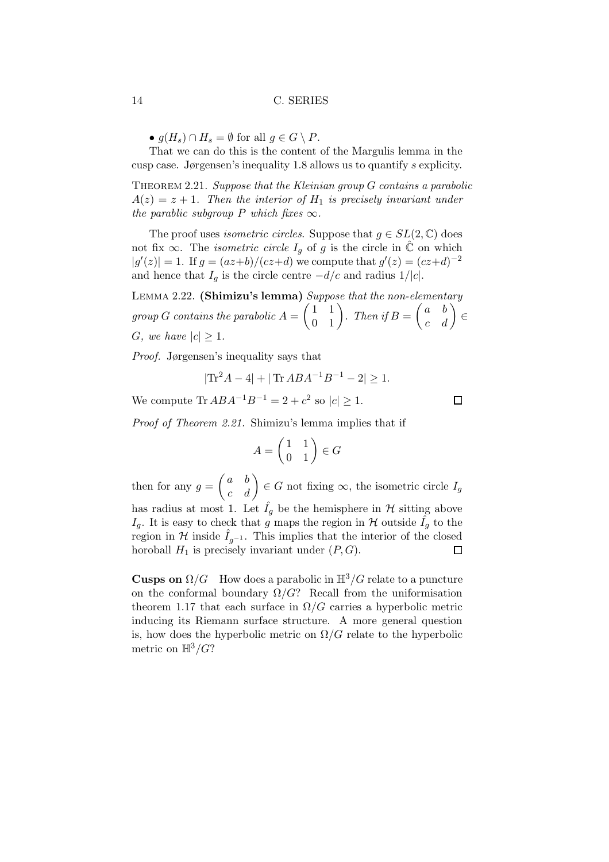•  $g(H_s) \cap H_s = \emptyset$  for all  $g \in G \setminus P$ .

That we can do this is the content of the Margulis lemma in the cusp case. Jørgensen's inequality 1.8 allows us to quantify s explicity.

THEOREM 2.21. Suppose that the Kleinian group  $G$  contains a parabolic  $A(z) = z + 1$ . Then the interior of  $H<sub>1</sub>$  is precisely invariant under the parablic subgroup P which fixes  $\infty$ .

The proof uses *isometric circles*. Suppose that  $g \in SL(2, \mathbb{C})$  does not fix  $\infty$ . The *isometric circle*  $I_q$  of g is the circle in  $\hat{\mathbb{C}}$  on which  $|g'(z)| = 1$ . If  $g = (az+b)/(cz+d)$  we compute that  $g'(z) = (cz+d)^{-2}$ and hence that  $I_q$  is the circle centre  $-d/c$  and radius 1/|c|.

LEMMA 2.22. (Shimizu's lemma) Suppose that the non-elementary  $group\ G\ contains\ the\ parabolic\ A=\begin{pmatrix} 1&1\ 0&1 \end{pmatrix}. \ Then\ if B=\begin{pmatrix} a&b\ c&d \end{pmatrix}\in$ G, we have  $|c| \geq 1$ .

Proof. Jørgensen's inequality says that

$$
|\text{Tr}^2 A - 4| + |\text{Tr } A B A^{-1} B^{-1} - 2| \ge 1.
$$

We compute  $\text{Tr }ABA^{-1}B^{-1} = 2 + c^2 \text{ so } |c| \geq 1.$ 

Proof of Theorem 2.21. Shimizu's lemma implies that if

$$
A = \begin{pmatrix} 1 & 1 \\ 0 & 1 \end{pmatrix} \in G
$$

then for any  $g = \begin{pmatrix} a & b \\ c & d \end{pmatrix} \in G$  not fixing  $\infty$ , the isometric circle  $I_g$ has radius at most 1. Let  $\hat{I}_q$  be the hemisphere in  $\mathcal H$  sitting above  $I_q$ . It is easy to check that g maps the region in H outside  $\hat{I}_q$  to the region in  $\mathcal H$  inside  $I_{g^{-1}}$ . This implies that the interior of the closed horoball  $H_1$  is precisely invariant under  $(P, G)$ . horoball  $H_1$  is precisely invariant under  $(P, G)$ .

**Cusps on**  $\Omega/G$  How does a parabolic in  $\mathbb{H}^3/G$  relate to a puncture on the conformal boundary  $\Omega/G$ ? Recall from the uniformisation theorem 1.17 that each surface in  $\Omega/G$  carries a hyperbolic metric inducing its Riemann surface structure. A more general question is, how does the hyperbolic metric on  $\Omega/G$  relate to the hyperbolic metric on  $\mathbb{H}^3/G$ ?

 $\Box$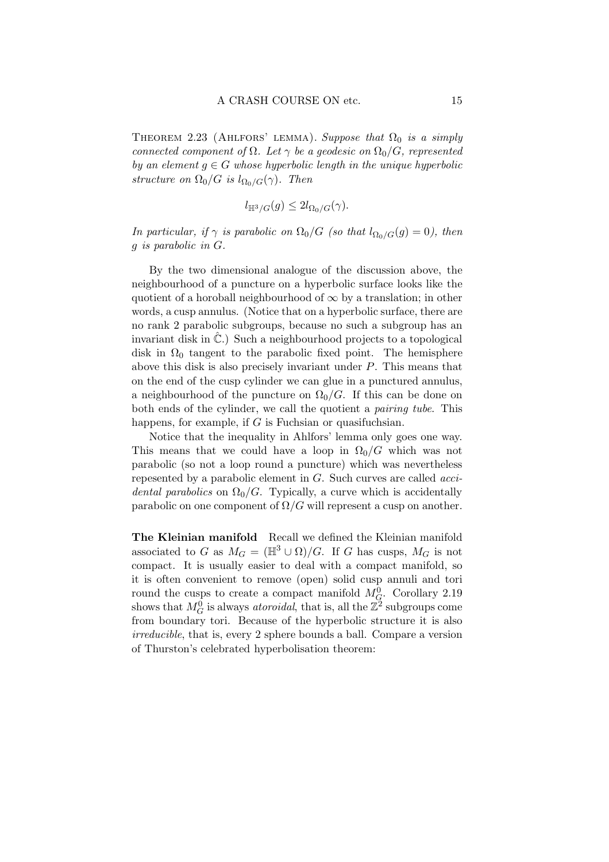THEOREM 2.23 (AHLFORS' LEMMA). Suppose that  $\Omega_0$  is a simply connected component of  $\Omega$ . Let  $\gamma$  be a geodesic on  $\Omega_0/G$ , represented by an element  $g \in G$  whose hyperbolic length in the unique hyperbolic structure on  $\Omega_0/G$  is  $l_{\Omega_0/G}(\gamma)$ . Then

$$
l_{\mathbb{H}^3/G}(g) \leq 2l_{\Omega_0/G}(\gamma).
$$

In particular, if  $\gamma$  is parabolic on  $\Omega_0/G$  (so that  $l_{\Omega_0/G}(g) = 0$ ), then g is parabolic in G.

By the two dimensional analogue of the discussion above, the neighbourhood of a puncture on a hyperbolic surface looks like the quotient of a horoball neighbourhood of  $\infty$  by a translation; in other words, a cusp annulus. (Notice that on a hyperbolic surface, there are no rank 2 parabolic subgroups, because no such a subgroup has an invariant disk in  $\ddot{\mathbb{C}}$ .) Such a neighbourhood projects to a topological disk in  $\Omega_0$  tangent to the parabolic fixed point. The hemisphere above this disk is also precisely invariant under P. This means that on the end of the cusp cylinder we can glue in a punctured annulus, a neighbourhood of the puncture on  $\Omega_0/G$ . If this can be done on both ends of the cylinder, we call the quotient a pairing tube. This happens, for example, if G is Fuchsian or quasifuchsian.

Notice that the inequality in Ahlfors' lemma only goes one way. This means that we could have a loop in  $\Omega_0/G$  which was not parabolic (so not a loop round a puncture) which was nevertheless repesented by a parabolic element in G. Such curves are called accidental parabolics on  $\Omega_0/G$ . Typically, a curve which is accidentally parabolic on one component of  $\Omega/G$  will represent a cusp on another.

The Kleinian manifold Recall we defined the Kleinian manifold associated to G as  $M_G = (\mathbb{H}^3 \cup \Omega)/G$ . If G has cusps,  $M_G$  is not compact. It is usually easier to deal with a compact manifold, so it is often convenient to remove (open) solid cusp annuli and tori round the cusps to create a compact manifold  $M_G^0$ . Corollary 2.19 shows that  $M_G^0$  is always *atoroidal*, that is, all the  $\mathbb{Z}^2$  subgroups come from boundary tori. Because of the hyperbolic structure it is also irreducible, that is, every 2 sphere bounds a ball. Compare a version of Thurston's celebrated hyperbolisation theorem: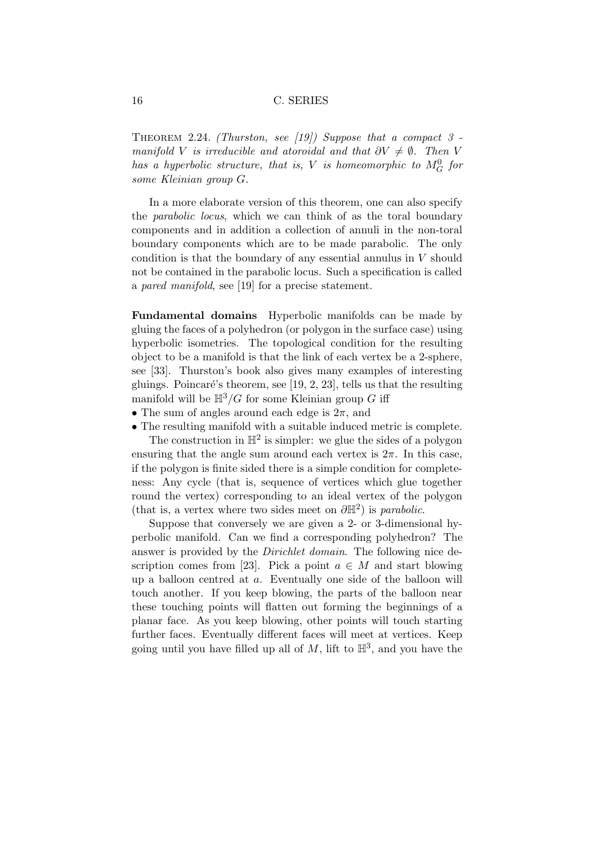THEOREM 2.24. (Thurston, see [19]) Suppose that a compact  $3$ manifold V is irreducible and atoroidal and that  $\partial V \neq \emptyset$ . Then V has a hyperbolic structure, that is, V is homeomorphic to  $M_G^0$  for some Kleinian group G.

In a more elaborate version of this theorem, one can also specify the parabolic locus, which we can think of as the toral boundary components and in addition a collection of annuli in the non-toral boundary components which are to be made parabolic. The only condition is that the boundary of any essential annulus in V should not be contained in the parabolic locus. Such a specification is called a pared manifold, see [19] for a precise statement.

Fundamental domains Hyperbolic manifolds can be made by gluing the faces of a polyhedron (or polygon in the surface case) using hyperbolic isometries. The topological condition for the resulting object to be a manifold is that the link of each vertex be a 2-sphere, see [33]. Thurston's book also gives many examples of interesting gluings. Poincaré's theorem, see [19, 2, 23], tells us that the resulting manifold will be  $H^3/G$  for some Kleinian group G iff

- The sum of angles around each edge is  $2\pi$ , and
- The resulting manifold with a suitable induced metric is complete.

The construction in  $\mathbb{H}^2$  is simpler: we glue the sides of a polygon ensuring that the angle sum around each vertex is  $2\pi$ . In this case, if the polygon is finite sided there is a simple condition for completeness: Any cycle (that is, sequence of vertices which glue together round the vertex) corresponding to an ideal vertex of the polygon (that is, a vertex where two sides meet on  $\partial \mathbb{H}^2$ ) is *parabolic*.

Suppose that conversely we are given a 2- or 3-dimensional hyperbolic manifold. Can we find a corresponding polyhedron? The answer is provided by the Dirichlet domain. The following nice description comes from [23]. Pick a point  $a \in M$  and start blowing up a balloon centred at a. Eventually one side of the balloon will touch another. If you keep blowing, the parts of the balloon near these touching points will flatten out forming the beginnings of a planar face. As you keep blowing, other points will touch starting further faces. Eventually different faces will meet at vertices. Keep going until you have filled up all of  $M$ , lift to  $\mathbb{H}^3$ , and you have the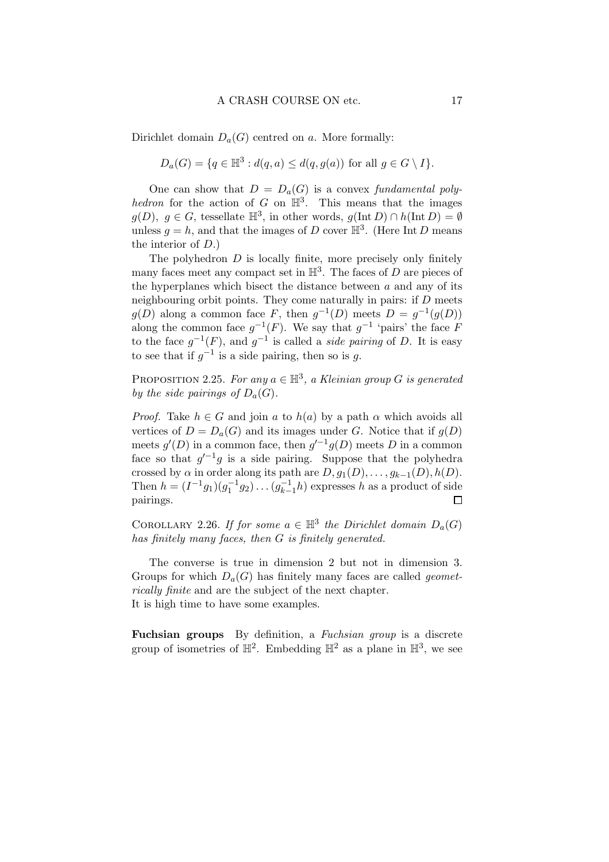Dirichlet domain  $D_a(G)$  centred on a. More formally:

$$
D_a(G) = \{q \in \mathbb{H}^3 : d(q, a) \leq d(q, g(a)) \text{ for all } g \in G \setminus I\}.
$$

One can show that  $D = D_a(G)$  is a convex fundamental polyhedron for the action of G on  $\mathbb{H}^3$ . This means that the images  $g(D), g \in G$ , tessellate  $\mathbb{H}^3$ , in other words,  $g(\text{Int } D) \cap h(\text{Int } D) = \emptyset$ unless  $g = h$ , and that the images of D cover  $\mathbb{H}^3$ . (Here Int D means the interior of D.)

The polyhedron  $D$  is locally finite, more precisely only finitely many faces meet any compact set in  $\mathbb{H}^3$ . The faces of D are pieces of the hyperplanes which bisect the distance between  $a$  and any of its neighbouring orbit points. They come naturally in pairs: if  $D$  meets  $g(D)$  along a common face F, then  $g^{-1}(D)$  meets  $D = g^{-1}(g(D))$ along the common face  $g^{-1}(F)$ . We say that  $g^{-1}$  'pairs' the face F to the face  $g^{-1}(F)$ , and  $g^{-1}$  is called a *side pairing* of D. It is easy to see that if  $g^{-1}$  is a side pairing, then so is g.

PROPOSITION 2.25. For any  $a \in \mathbb{H}^3$ , a Kleinian group G is generated by the side pairings of  $D_a(G)$ .

*Proof.* Take  $h \in G$  and join a to  $h(a)$  by a path  $\alpha$  which avoids all vertices of  $D = D<sub>a</sub>(G)$  and its images under G. Notice that if  $g(D)$ meets  $g'(D)$  in a common face, then  $g'^{-1}g(D)$  meets D in a common face so that  $g^{-1}g$  is a side pairing. Suppose that the polyhedra crossed by  $\alpha$  in order along its path are  $D, g_1(D), \ldots, g_{k-1}(D), h(D)$ . Then  $h = (I^{-1}g_1)(g_1^{-1}g_2) \dots (g_{k-1}^{-1})$  $\bar{k-1}$ h) expresses h as a product of side pairings.  $\Box$ 

COROLLARY 2.26. If for some  $a \in \mathbb{H}^3$  the Dirichlet domain  $D_a(G)$ has finitely many faces, then G is finitely generated.

The converse is true in dimension 2 but not in dimension 3. Groups for which  $D_a(G)$  has finitely many faces are called *geomet*rically finite and are the subject of the next chapter. It is high time to have some examples.

Fuchsian groups By definition, a Fuchsian group is a discrete group of isometries of  $\mathbb{H}^2$ . Embedding  $\mathbb{H}^2$  as a plane in  $\mathbb{H}^3$ , we see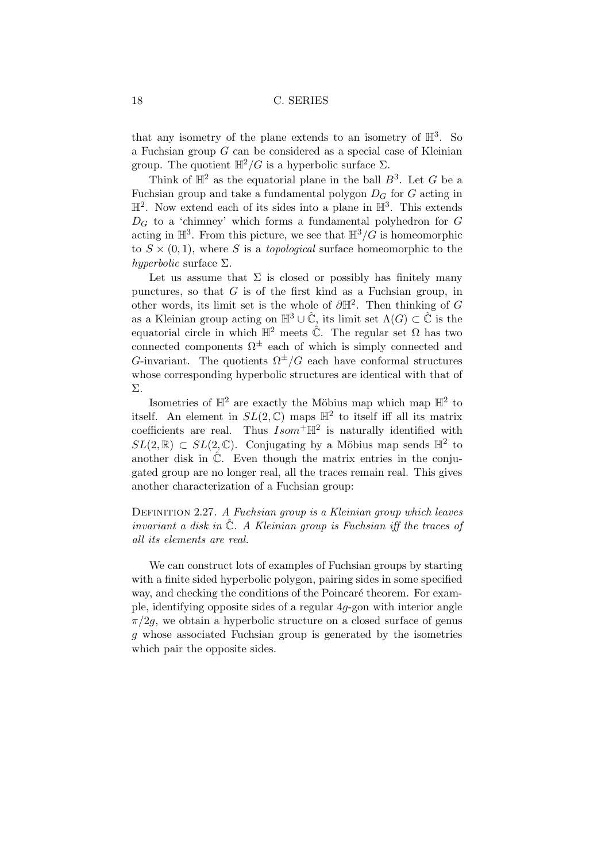that any isometry of the plane extends to an isometry of  $\mathbb{H}^3$ . So a Fuchsian group G can be considered as a special case of Kleinian group. The quotient  $\mathbb{H}^2/G$  is a hyperbolic surface  $\Sigma$ .

Think of  $\mathbb{H}^2$  as the equatorial plane in the ball  $B^3$ . Let G be a Fuchsian group and take a fundamental polygon  $D_G$  for G acting in  $\mathbb{H}^2$ . Now extend each of its sides into a plane in  $\mathbb{H}^3$ . This extends  $D_G$  to a 'chimney' which forms a fundamental polyhedron for G acting in  $\mathbb{H}^3$ . From this picture, we see that  $\mathbb{H}^3/G$  is homeomorphic to  $S \times (0, 1)$ , where S is a *topological* surface homeomorphic to the hyperbolic surface  $\Sigma$ .

Let us assume that  $\Sigma$  is closed or possibly has finitely many punctures, so that  $G$  is of the first kind as a Fuchsian group, in other words, its limit set is the whole of  $\partial \mathbb{H}^2$ . Then thinking of G as a Kleinian group acting on  $\mathbb{H}^3 \cup \hat{\mathbb{C}}$ , its limit set  $\Lambda(G) \subset \hat{\mathbb{C}}$  is the equatorial circle in which  $\mathbb{H}^2$  meets  $\hat{\mathbb{C}}$ . The regular set  $\Omega$  has two connected components  $\Omega^{\pm}$  each of which is simply connected and G-invariant. The quotients  $\Omega^{\pm}/G$  each have conformal structures whose corresponding hyperbolic structures are identical with that of Σ.

Isometries of  $\mathbb{H}^2$  are exactly the Möbius map which map  $\mathbb{H}^2$  to itself. An element in  $SL(2,\mathbb{C})$  maps  $\mathbb{H}^2$  to itself iff all its matrix coefficients are real. Thus  $Isom^+\mathbb{H}^2$  is naturally identified with  $SL(2,\mathbb{R})\subset SL(2,\mathbb{C})$ . Conjugating by a Möbius map sends  $\mathbb{H}^2$  to another disk in  $\hat{\mathbb{C}}$ . Even though the matrix entries in the conjugated group are no longer real, all the traces remain real. This gives another characterization of a Fuchsian group:

# DEFINITION 2.27. A Fuchsian group is a Kleinian group which leaves invariant a disk in  $\tilde{\mathbb{C}}$ . A Kleinian group is Fuchsian iff the traces of all its elements are real.

We can construct lots of examples of Fuchsian groups by starting with a finite sided hyperbolic polygon, pairing sides in some specified way, and checking the conditions of the Poincaré theorem. For example, identifying opposite sides of a regular 4g-gon with interior angle  $\pi/2g$ , we obtain a hyperbolic structure on a closed surface of genus g whose associated Fuchsian group is generated by the isometries which pair the opposite sides.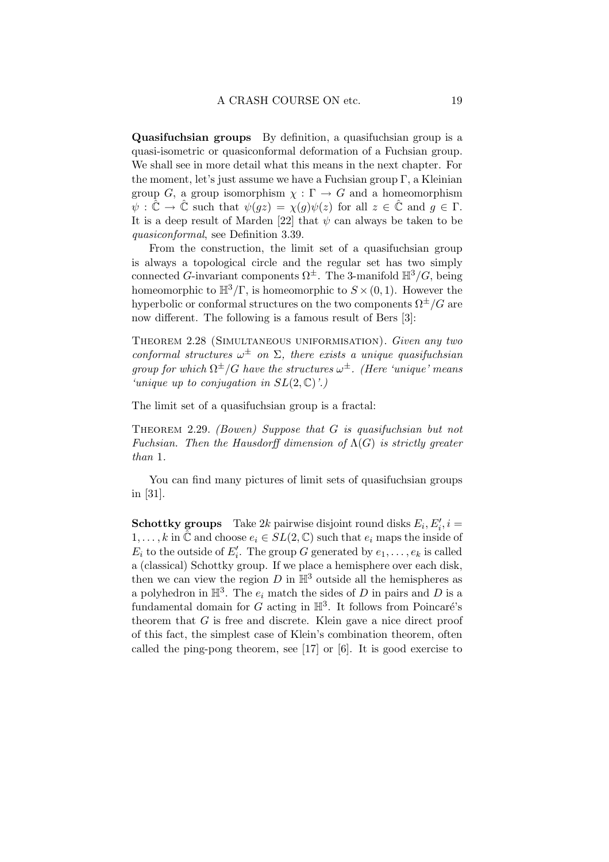Quasifuchsian groups By definition, a quasifuchsian group is a quasi-isometric or quasiconformal deformation of a Fuchsian group. We shall see in more detail what this means in the next chapter. For the moment, let's just assume we have a Fuchsian group  $\Gamma$ , a Kleinian group G, a group isomorphism  $\chi : \Gamma \to G$  and a homeomorphism  $\psi : \tilde{\mathbb{C}} \to \tilde{\mathbb{C}}$  such that  $\psi(gz) = \chi(g)\psi(z)$  for all  $z \in \tilde{\mathbb{C}}$  and  $g \in \Gamma$ . It is a deep result of Marden [22] that  $\psi$  can always be taken to be quasiconformal, see Definition 3.39.

From the construction, the limit set of a quasifuchsian group is always a topological circle and the regular set has two simply connected G-invariant components  $\Omega^{\pm}$ . The 3-manifold  $\mathbb{H}^3/G$ , being homeomorphic to  $\mathbb{H}^3/\Gamma$ , is homeomorphic to  $S \times (0, 1)$ . However the hyperbolic or conformal structures on the two components  $\Omega^{\pm}/G$  are now different. The following is a famous result of Bers [3]:

THEOREM 2.28 (SIMULTANEOUS UNIFORMISATION). Given any two conformal structures  $\omega^{\pm}$  on  $\Sigma$ , there exists a unique quasifuchsian group for which  $\Omega^{\pm}/G$  have the structures  $\omega^{\pm}$ . (Here 'unique' means 'unique up to conjugation in  $SL(2,\mathbb{C})$ '.)

The limit set of a quasifuchsian group is a fractal:

THEOREM 2.29. (Bowen) Suppose that G is quasifuchsian but not Fuchsian. Then the Hausdorff dimension of  $\Lambda(G)$  is strictly greater than 1.

You can find many pictures of limit sets of quasifuchsian groups in [31].

**Schottky groups** Take 2k pairwise disjoint round disks  $E_i, E'_i, i =$  $1,\ldots,k$  in  $\hat{\mathbb{C}}$  and choose  $e_i \in SL(2,\mathbb{C})$  such that  $e_i$  maps the inside of  $E_i$  to the outside of  $E'_i$ . The group G generated by  $e_1, \ldots, e_k$  is called a (classical) Schottky group. If we place a hemisphere over each disk, then we can view the region  $D$  in  $\mathbb{H}^3$  outside all the hemispheres as a polyhedron in  $\mathbb{H}^3$ . The  $e_i$  match the sides of D in pairs and D is a fundamental domain for G acting in  $\mathbb{H}^3$ . It follows from Poincaré's theorem that  $G$  is free and discrete. Klein gave a nice direct proof of this fact, the simplest case of Klein's combination theorem, often called the ping-pong theorem, see [17] or [6]. It is good exercise to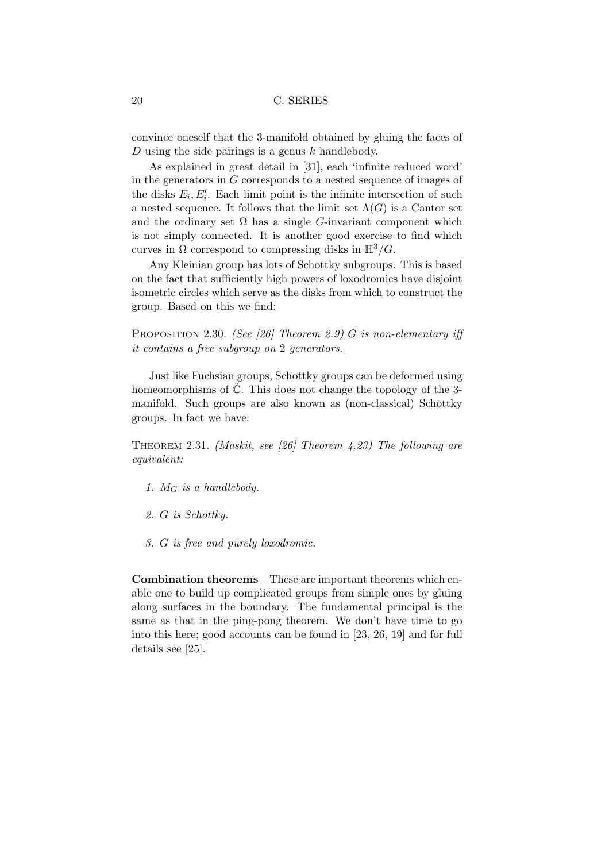convince oneself that the 3-manifold obtained by gluing the faces of D using the side pairings is a genus  $k$  handlebody.

As explained in great detail in [31], each 'infinite reduced word' in the generators in G corresponds to a nested sequence of images of the disks  $E_i, E'_i$ . Each limit point is the infinite intersection of such a nested sequence. It follows that the limit set  $\Lambda(G)$  is a Cantor set and the ordinary set  $\Omega$  has a single G-invariant component which is not simply connected. It is another good exercise to find which curves in  $\Omega$  correspond to compressing disks in  $\mathbb{H}^3/G$ .

Any Kleinian group has lots of Schottky subgroups. This is based on the fact that sufficiently high powers of loxodromics have disjoint isometric circles which serve as the disks from which to construct the group. Based on this we find:

PROPOSITION 2.30. (See [26] Theorem 2.9) G is non-elementary iff it contains a free subgroup on 2 generators.

Just like Fuchsian groups, Schottky groups can be deformed using homeomorphisms of  $\ddot{\mathbb{C}}$ . This does not change the topology of the 3manifold. Such groups are also known as (non-classical) Schottky groups. In fact we have:

THEOREM 2.31. (Maskit, see [26] Theorem 4.23) The following are equivalent:

- 1.  $M_G$  is a handlebody.
- 2. G is Schottky.
- 3. G is free and purely loxodromic.

Combination theorems These are important theorems which enable one to build up complicated groups from simple ones by gluing along surfaces in the boundary. The fundamental principal is the same as that in the ping-pong theorem. We don't have time to go into this here; good accounts can be found in [23, 26, 19] and for full details see [25].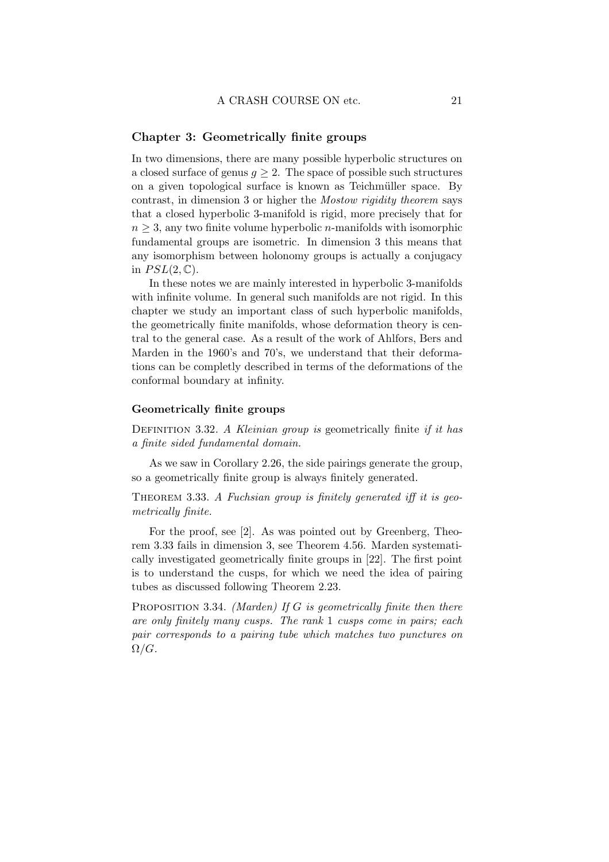### Chapter 3: Geometrically finite groups

In two dimensions, there are many possible hyperbolic structures on a closed surface of genus  $g \geq 2$ . The space of possible such structures on a given topological surface is known as Teichmüller space. By contrast, in dimension 3 or higher the Mostow rigidity theorem says that a closed hyperbolic 3-manifold is rigid, more precisely that for  $n \geq 3$ , any two finite volume hyperbolic *n*-manifolds with isomorphic fundamental groups are isometric. In dimension 3 this means that any isomorphism between holonomy groups is actually a conjugacy in  $PSL(2,\mathbb{C})$ .

In these notes we are mainly interested in hyperbolic 3-manifolds with infinite volume. In general such manifolds are not rigid. In this chapter we study an important class of such hyperbolic manifolds, the geometrically finite manifolds, whose deformation theory is central to the general case. As a result of the work of Ahlfors, Bers and Marden in the 1960's and 70's, we understand that their deformations can be completly described in terms of the deformations of the conformal boundary at infinity.

#### Geometrically finite groups

DEFINITION 3.32. A Kleinian group is geometrically finite if it has a finite sided fundamental domain.

As we saw in Corollary 2.26, the side pairings generate the group, so a geometrically finite group is always finitely generated.

THEOREM 3.33. A Fuchsian group is finitely generated iff it is geometrically finite.

For the proof, see [2]. As was pointed out by Greenberg, Theorem 3.33 fails in dimension 3, see Theorem 4.56. Marden systematically investigated geometrically finite groups in [22]. The first point is to understand the cusps, for which we need the idea of pairing tubes as discussed following Theorem 2.23.

PROPOSITION 3.34. (Marden) If G is geometrically finite then there are only finitely many cusps. The rank 1 cusps come in pairs; each pair corresponds to a pairing tube which matches two punctures on  $\Omega/G$ .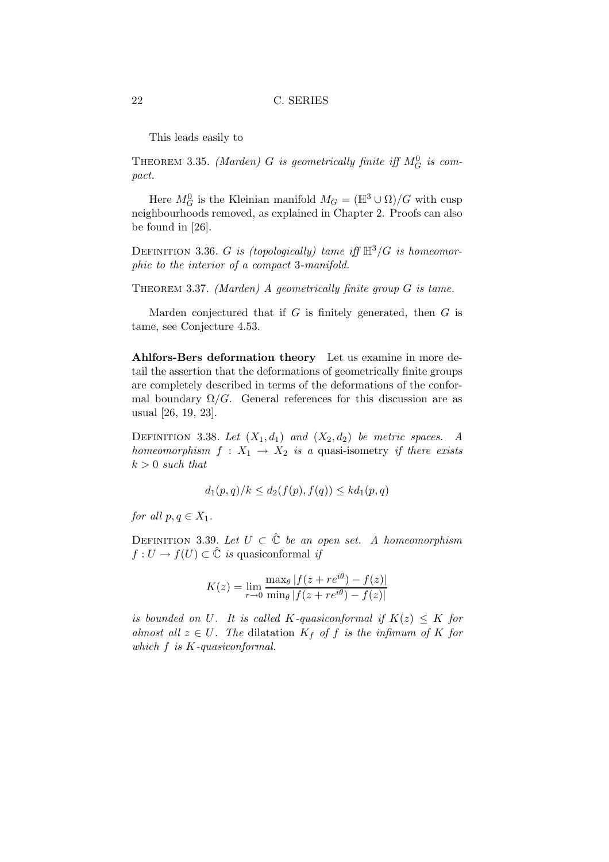This leads easily to

THEOREM 3.35. (Marden) G is geometrically finite iff  $M_G^0$  is compact.

Here  $M_G^0$  is the Kleinian manifold  $M_G = (\mathbb{H}^3 \cup \Omega)/G$  with cusp neighbourhoods removed, as explained in Chapter 2. Proofs can also be found in [26].

DEFINITION 3.36. G is (topologically) tame iff  $\mathbb{H}^3/G$  is homeomorphic to the interior of a compact 3-manifold.

THEOREM 3.37. (Marden) A geometrically finite group  $G$  is tame.

Marden conjectured that if  $G$  is finitely generated, then  $G$  is tame, see Conjecture 4.53.

Ahlfors-Bers deformation theory Let us examine in more detail the assertion that the deformations of geometrically finite groups are completely described in terms of the deformations of the conformal boundary  $\Omega/G$ . General references for this discussion are as usual [26, 19, 23].

DEFINITION 3.38. Let  $(X_1, d_1)$  and  $(X_2, d_2)$  be metric spaces. A homeomorphism  $f: X_1 \rightarrow X_2$  is a quasi-isometry if there exists  $k > 0$  such that

$$
d_1(p,q)/k \leq d_2(f(p), f(q)) \leq kd_1(p,q)
$$

for all  $p, q \in X_1$ .

DEFINITION 3.39. Let  $U \subset \hat{\mathbb{C}}$  be an open set. A homeomorphism  $f: U \to f(U) \subset \hat{\mathbb{C}}$  is quasiconformal if

$$
K(z) = \lim_{r \to 0} \frac{\max_{\theta} |f(z + re^{i\theta}) - f(z)|}{\min_{\theta} |f(z + re^{i\theta}) - f(z)|}
$$

is bounded on U. It is called K-quasiconformal if  $K(z) \leq K$  for almost all  $z \in U$ . The dilatation  $K_f$  of f is the infimum of K for which  $f$  is  $K$ -quasiconformal.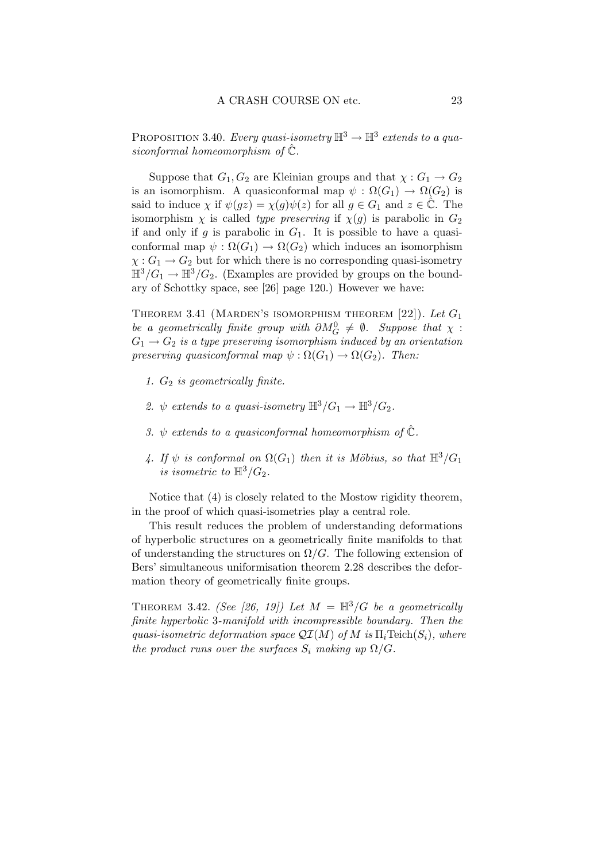PROPOSITION 3.40. Every quasi-isometry  $\mathbb{H}^3 \to \mathbb{H}^3$  extends to a quasiconformal homeomorphism of  $\hat{\mathbb{C}}$ .

Suppose that  $G_1, G_2$  are Kleinian groups and that  $\chi : G_1 \to G_2$ is an isomorphism. A quasiconformal map  $\psi : \Omega(G_1) \to \Omega(G_2)$  is said to induce  $\chi$  if  $\psi(gz) = \chi(g)\psi(z)$  for all  $g \in G_1$  and  $z \in \mathbb{C}$ . The isomorphism  $\chi$  is called type preserving if  $\chi(q)$  is parabolic in  $G_2$ if and only if g is parabolic in  $G_1$ . It is possible to have a quasiconformal map  $\psi : \Omega(G_1) \to \Omega(G_2)$  which induces an isomorphism  $\chi: G_1 \to G_2$  but for which there is no corresponding quasi-isometry  $\mathbb{H}^3/G_1 \to \mathbb{H}^3/G_2$ . (Examples are provided by groups on the boundary of Schottky space, see [26] page 120.) However we have:

THEOREM 3.41 (MARDEN'S ISOMORPHISM THEOREM  $[22]$ ). Let  $G_1$ be a geometrically finite group with  $\partial M_G^0 \neq \emptyset$ . Suppose that  $\chi$ :  $G_1 \rightarrow G_2$  is a type preserving isomorphism induced by an orientation preserving quasiconformal map  $\psi : \Omega(G_1) \to \Omega(G_2)$ . Then:

- 1.  $G_2$  is geometrically finite.
- 2.  $\psi$  extends to a quasi-isometry  $\mathbb{H}^3/G_1 \to \mathbb{H}^3/G_2$ .
- 3.  $\psi$  extends to a quasiconformal homeomorphism of  $\hat{\mathbb{C}}$ .
- 4. If  $\psi$  is conformal on  $\Omega(G_1)$  then it is Möbius, so that  $\mathbb{H}^3/G_1$ is isometric to  $\mathbb{H}^3/G_2$ .

Notice that (4) is closely related to the Mostow rigidity theorem, in the proof of which quasi-isometries play a central role.

This result reduces the problem of understanding deformations of hyperbolic structures on a geometrically finite manifolds to that of understanding the structures on  $\Omega/G$ . The following extension of Bers' simultaneous uniformisation theorem 2.28 describes the deformation theory of geometrically finite groups.

THEOREM 3.42. (See [26, 19]) Let  $M = \mathbb{H}^3/G$  be a geometrically finite hyperbolic 3-manifold with incompressible boundary. Then the quasi-isometric deformation space  $\mathcal{QI}(M)$  of M is  $\Pi_i$ Teich $(S_i)$ , where the product runs over the surfaces  $S_i$  making up  $\Omega/G$ .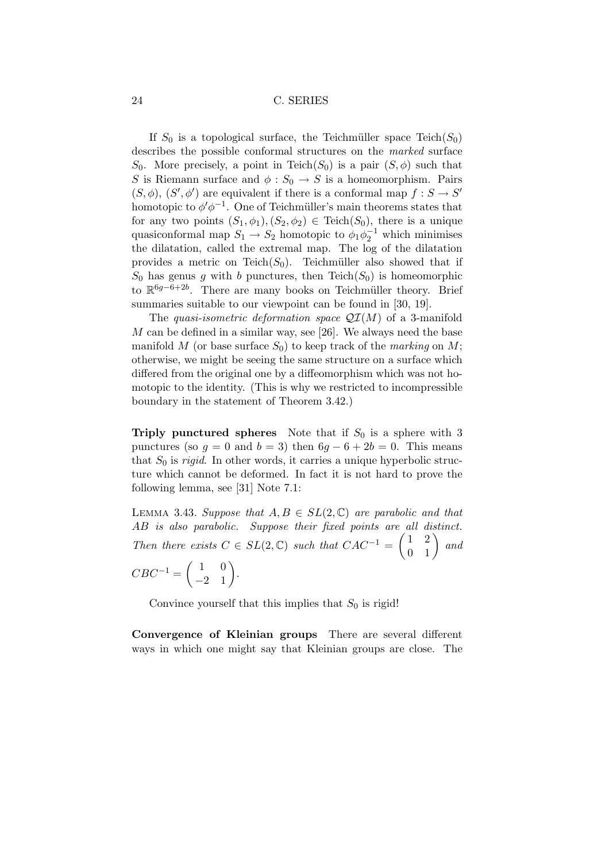If  $S_0$  is a topological surface, the Teichmüller space Teich $(S_0)$ describes the possible conformal structures on the marked surface  $S_0$ . More precisely, a point in Teich $(S_0)$  is a pair  $(S, \phi)$  such that S is Riemann surface and  $\phi : S_0 \to S$  is a homeomorphism. Pairs  $(S, \phi), (S', \phi')$  are equivalent if there is a conformal map  $f : S \to S'$ homotopic to  $\phi' \phi^{-1}$ . One of Teichmüller's main theorems states that for any two points  $(S_1, \phi_1), (S_2, \phi_2) \in \text{Teich}(S_0)$ , there is a unique quasiconformal map  $S_1 \to S_2$  homotopic to  $\phi_1 \phi_2^{-1}$  which minimises the dilatation, called the extremal map. The log of the dilatation provides a metric on Teich $(S_0)$ . Teichmüller also showed that if  $S_0$  has genus g with b punctures, then Teich( $S_0$ ) is homeomorphic to R<sup>6g-6+2b</sup>. There are many books on Teichmüller theory. Brief summaries suitable to our viewpoint can be found in [30, 19].

The quasi-isometric deformation space  $\mathcal{QI}(M)$  of a 3-manifold M can be defined in a similar way, see [26]. We always need the base manifold M (or base surface  $S_0$ ) to keep track of the *marking* on M; otherwise, we might be seeing the same structure on a surface which differed from the original one by a diffeomorphism which was not homotopic to the identity. (This is why we restricted to incompressible boundary in the statement of Theorem 3.42.)

Triply punctured spheres Note that if  $S_0$  is a sphere with 3 punctures (so  $g = 0$  and  $b = 3$ ) then  $6g - 6 + 2b = 0$ . This means that  $S_0$  is *rigid*. In other words, it carries a unique hyperbolic structure which cannot be deformed. In fact it is not hard to prove the following lemma, see [31] Note 7.1:

LEMMA 3.43. Suppose that  $A, B \in SL(2, \mathbb{C})$  are parabolic and that AB is also parabolic. Suppose their fixed points are all distinct. Then there exists  $C \in SL(2, \mathbb{C})$  such that  $CAC^{-1} = \begin{pmatrix} 1 & 2 \\ 0 & 1 \end{pmatrix}$  and  $CBC^{-1} = \begin{pmatrix} 1 & 0 \\ -2 & 1 \end{pmatrix}.$ 

Convince yourself that this implies that  $S_0$  is rigid!

Convergence of Kleinian groups There are several different ways in which one might say that Kleinian groups are close. The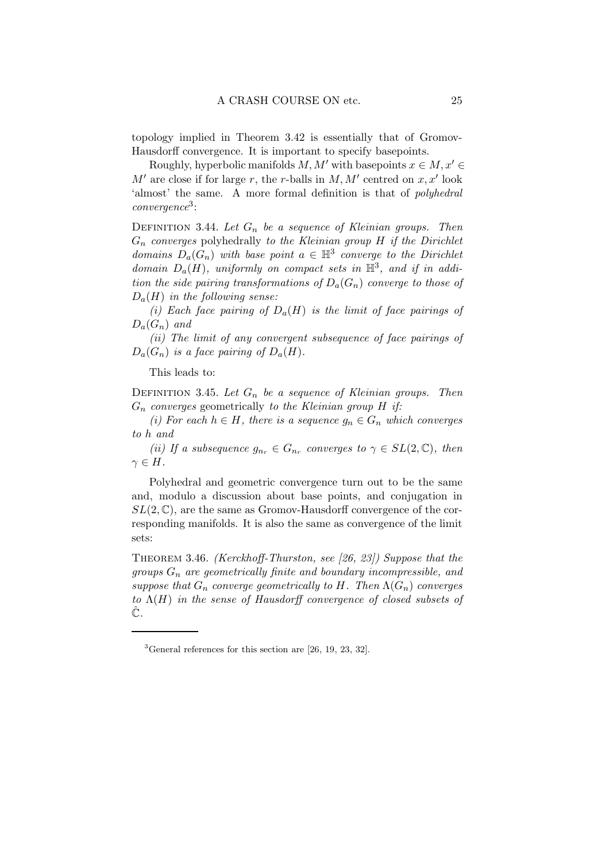topology implied in Theorem 3.42 is essentially that of Gromov-Hausdorff convergence. It is important to specify basepoints.

Roughly, hyperbolic manifolds  $M, M'$  with basepoints  $x \in M, x' \in$  $M'$  are close if for large r, the r-balls in  $M$ ,  $M'$  centred on  $x$ ,  $x'$  look 'almost' the same. A more formal definition is that of polyhedral convergence<sup>3</sup> :

DEFINITION 3.44. Let  $G_n$  be a sequence of Kleinian groups. Then  $G_n$  converges polyhedrally to the Kleinian group  $H$  if the Dirichlet domains  $D_a(G_n)$  with base point  $a \in \mathbb{H}^3$  converge to the Dirichlet domain  $D_a(H)$ , uniformly on compact sets in  $\mathbb{H}^3$ , and if in addition the side pairing transformations of  $D_a(G_n)$  converge to those of  $D_a(H)$  in the following sense:

(i) Each face pairing of  $D_a(H)$  is the limit of face pairings of  $D_{a}(G_{n})$  and

(ii) The limit of any convergent subsequence of face pairings of  $D_a(G_n)$  is a face pairing of  $D_a(H)$ .

This leads to:

DEFINITION 3.45. Let  $G_n$  be a sequence of Kleinian groups. Then  $G_n$  converges geometrically to the Kleinian group H if:

(i) For each  $h \in H$ , there is a sequence  $g_n \in G_n$  which converges to h and

(ii) If a subsequence  $g_{n_r} \in G_{n_r}$  converges to  $\gamma \in SL(2,\mathbb{C})$ , then  $\gamma \in H$ .

Polyhedral and geometric convergence turn out to be the same and, modulo a discussion about base points, and conjugation in  $SL(2,\mathbb{C})$ , are the same as Gromov-Hausdorff convergence of the corresponding manifolds. It is also the same as convergence of the limit sets:

Theorem 3.46. (Kerckhoff-Thurston, see [26, 23]) Suppose that the groups  $G_n$  are geometrically finite and boundary incompressible, and suppose that  $G_n$  converge geometrically to H. Then  $\Lambda(G_n)$  converges to  $\Lambda(H)$  in the sense of Hausdorff convergence of closed subsets of  $\hat{\mathbb{C}}$ .

 ${}^{3}$ General references for this section are [26, 19, 23, 32].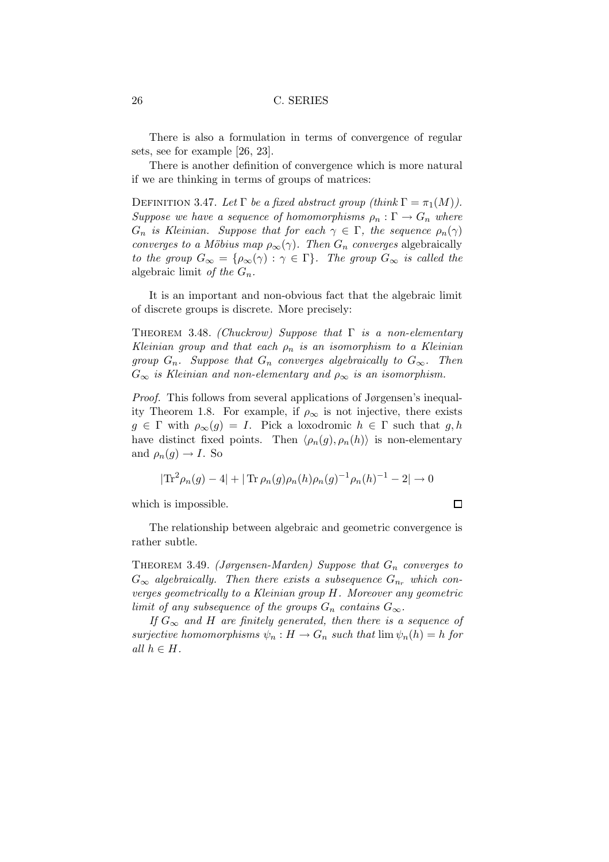There is also a formulation in terms of convergence of regular sets, see for example [26, 23].

There is another definition of convergence which is more natural if we are thinking in terms of groups of matrices:

DEFINITION 3.47. Let  $\Gamma$  be a fixed abstract group (think  $\Gamma = \pi_1(M)$ ). Suppose we have a sequence of homomorphisms  $\rho_n : \Gamma \to G_n$  where  $G_n$  is Kleinian. Suppose that for each  $\gamma \in \Gamma$ , the sequence  $\rho_n(\gamma)$ converges to a Möbius map  $\rho_{\infty}(\gamma)$ . Then  $G_n$  converges algebraically to the group  $G_{\infty} = \{\rho_{\infty}(\gamma) : \gamma \in \Gamma\}$ . The group  $G_{\infty}$  is called the algebraic limit of the  $G_n$ .

It is an important and non-obvious fact that the algebraic limit of discrete groups is discrete. More precisely:

THEOREM 3.48. (Chuckrow) Suppose that  $\Gamma$  is a non-elementary Kleinian group and that each  $\rho_n$  is an isomorphism to a Kleinian group  $G_n$ . Suppose that  $G_n$  converges algebraically to  $G_{\infty}$ . Then  $G_{\infty}$  is Kleinian and non-elementary and  $\rho_{\infty}$  is an isomorphism.

Proof. This follows from several applications of Jørgensen's inequality Theorem 1.8. For example, if  $\rho_{\infty}$  is not injective, there exists  $g \in \Gamma$  with  $\rho_{\infty}(g) = I$ . Pick a loxodromic  $h \in \Gamma$  such that  $g, h$ have distinct fixed points. Then  $\langle \rho_n(g), \rho_n(h) \rangle$  is non-elementary and  $\rho_n(g) \to I$ . So

$$
|\text{Tr}^2 \rho_n(g) - 4| + |\text{Tr} \rho_n(g) \rho_n(h) \rho_n(g)^{-1} \rho_n(h)^{-1} - 2| \to 0
$$

which is impossible.

The relationship between algebraic and geometric convergence is rather subtle.

THEOREM 3.49. (Jørgensen-Marden) Suppose that  $G_n$  converges to  $G_{\infty}$  algebraically. Then there exists a subsequence  $G_{n_r}$  which converges geometrically to a Kleinian group H. Moreover any geometric limit of any subsequence of the groups  $G_n$  contains  $G_{\infty}$ .

If  $G_{\infty}$  and H are finitely generated, then there is a sequence of surjective homomorphisms  $\psi_n : H \to G_n$  such that  $\lim \psi_n(h) = h$  for all  $h \in H$ .

 $\Box$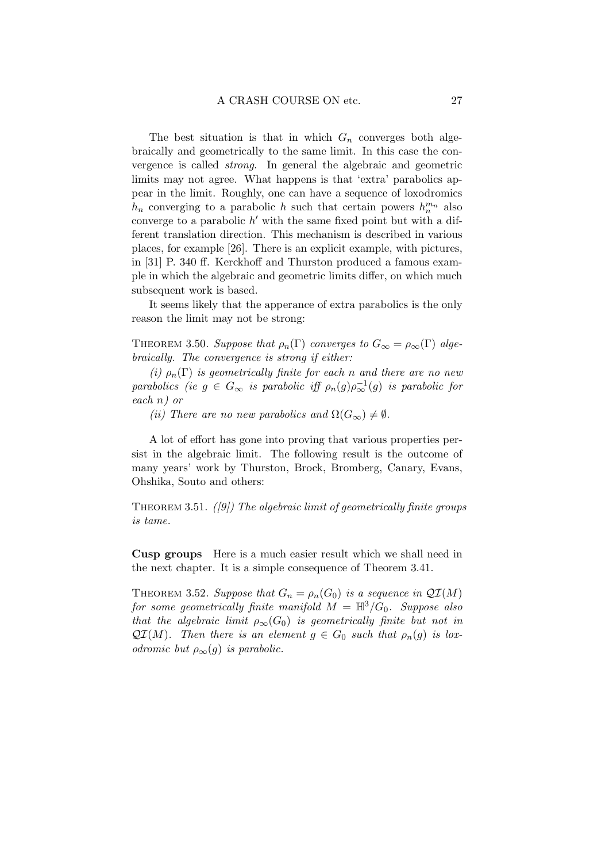The best situation is that in which  $G_n$  converges both algebraically and geometrically to the same limit. In this case the convergence is called strong. In general the algebraic and geometric limits may not agree. What happens is that 'extra' parabolics appear in the limit. Roughly, one can have a sequence of loxodromics  $h_n$  converging to a parabolic h such that certain powers  $h_n^{m_n}$  also converge to a parabolic  $h'$  with the same fixed point but with a different translation direction. This mechanism is described in various places, for example [26]. There is an explicit example, with pictures, in [31] P. 340 ff. Kerckhoff and Thurston produced a famous example in which the algebraic and geometric limits differ, on which much subsequent work is based.

It seems likely that the apperance of extra parabolics is the only reason the limit may not be strong:

THEOREM 3.50. Suppose that  $\rho_n(\Gamma)$  converges to  $G_{\infty} = \rho_{\infty}(\Gamma)$  algebraically. The convergence is strong if either:

(i)  $\rho_n(\Gamma)$  is geometrically finite for each n and there are no new parabolics (ie  $g \in G_{\infty}$  is parabolic iff  $\rho_n(g) \rho_{\infty}^{-1}(g)$  is parabolic for each n) or

(ii) There are no new parabolics and  $\Omega(G_{\infty}) \neq \emptyset$ .

A lot of effort has gone into proving that various properties persist in the algebraic limit. The following result is the outcome of many years' work by Thurston, Brock, Bromberg, Canary, Evans, Ohshika, Souto and others:

THEOREM 3.51.  $([9])$  The algebraic limit of geometrically finite groups is tame.

Cusp groups Here is a much easier result which we shall need in the next chapter. It is a simple consequence of Theorem 3.41.

THEOREM 3.52. Suppose that  $G_n = \rho_n(G_0)$  is a sequence in  $\mathcal{QI}(M)$ for some geometrically finite manifold  $M = \mathbb{H}^3/G_0$ . Suppose also that the algebraic limit  $\rho_{\infty}(G_0)$  is geometrically finite but not in  $\mathcal{QI}(M)$ . Then there is an element  $g \in G_0$  such that  $\rho_n(g)$  is loxodromic but  $\rho_{\infty}(q)$  is parabolic.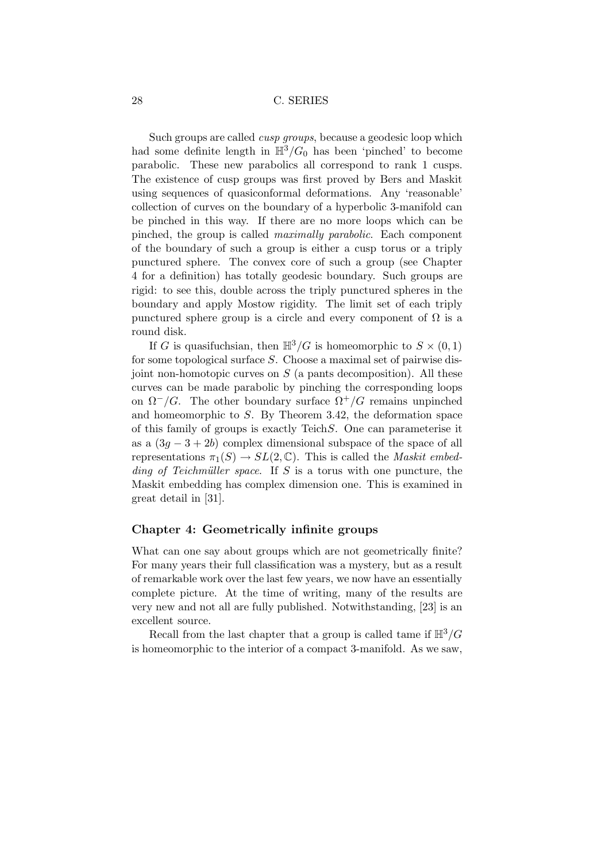Such groups are called cusp groups, because a geodesic loop which had some definite length in  $\mathbb{H}^3/G_0$  has been 'pinched' to become parabolic. These new parabolics all correspond to rank 1 cusps. The existence of cusp groups was first proved by Bers and Maskit using sequences of quasiconformal deformations. Any 'reasonable' collection of curves on the boundary of a hyperbolic 3-manifold can be pinched in this way. If there are no more loops which can be pinched, the group is called maximally parabolic. Each component of the boundary of such a group is either a cusp torus or a triply punctured sphere. The convex core of such a group (see Chapter 4 for a definition) has totally geodesic boundary. Such groups are rigid: to see this, double across the triply punctured spheres in the boundary and apply Mostow rigidity. The limit set of each triply punctured sphere group is a circle and every component of  $\Omega$  is a round disk.

If G is quasifuchsian, then  $\mathbb{H}^3/G$  is homeomorphic to  $S \times (0,1)$ for some topological surface S. Choose a maximal set of pairwise disjoint non-homotopic curves on  $S$  (a pants decomposition). All these curves can be made parabolic by pinching the corresponding loops on  $\Omega^{-}/G$ . The other boundary surface  $\Omega^{+}/G$  remains unpinched and homeomorphic to S. By Theorem 3.42, the deformation space of this family of groups is exactly TeichS. One can parameterise it as a  $(3q - 3 + 2b)$  complex dimensional subspace of the space of all representations  $\pi_1(S) \to SL(2,\mathbb{C})$ . This is called the *Maskit embed*ding of Teichmüller space. If S is a torus with one puncture, the Maskit embedding has complex dimension one. This is examined in great detail in [31].

#### Chapter 4: Geometrically infinite groups

What can one say about groups which are not geometrically finite? For many years their full classification was a mystery, but as a result of remarkable work over the last few years, we now have an essentially complete picture. At the time of writing, many of the results are very new and not all are fully published. Notwithstanding, [23] is an excellent source.

Recall from the last chapter that a group is called tame if  $\mathbb{H}^3/G$ is homeomorphic to the interior of a compact 3-manifold. As we saw,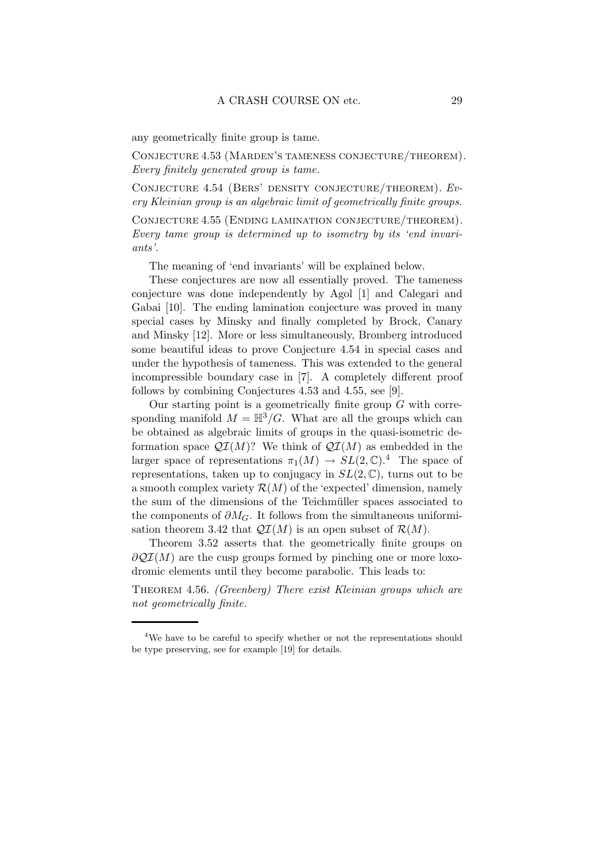any geometrically finite group is tame.

Conjecture 4.53 (Marden's tameness conjecture/theorem). Every finitely generated group is tame.

CONJECTURE 4.54 (BERS' DENSITY CONJECTURE/THEOREM). Every Kleinian group is an algebraic limit of geometrically finite groups.

Conjecture 4.55 (Ending lamination conjecture/theorem). Every tame group is determined up to isometry by its 'end invariants'.

The meaning of 'end invariants' will be explained below.

These conjectures are now all essentially proved. The tameness conjecture was done independently by Agol [1] and Calegari and Gabai [10]. The ending lamination conjecture was proved in many special cases by Minsky and finally completed by Brock, Canary and Minsky [12]. More or less simultaneously, Bromberg introduced some beautiful ideas to prove Conjecture 4.54 in special cases and under the hypothesis of tameness. This was extended to the general incompressible boundary case in [7]. A completely different proof follows by combining Conjectures 4.53 and 4.55, see [9].

Our starting point is a geometrically finite group  $G$  with corresponding manifold  $M = \mathbb{H}^3/G$ . What are all the groups which can be obtained as algebraic limits of groups in the quasi-isometric deformation space  $\mathcal{QI}(M)$ ? We think of  $\mathcal{QI}(M)$  as embedded in the larger space of representations  $\pi_1(M) \to SL(2,\mathbb{C})$ .<sup>4</sup> The space of representations, taken up to conjugacy in  $SL(2,\mathbb{C})$ , turns out to be a smooth complex variety  $\mathcal{R}(M)$  of the 'expected' dimension, namely the sum of the dimensions of the Teichmüller spaces associated to the components of  $\partial M_G$ . It follows from the simultaneous uniformisation theorem 3.42 that  $\mathcal{QI}(M)$  is an open subset of  $\mathcal{R}(M)$ .

Theorem 3.52 asserts that the geometrically finite groups on  $\partial \mathcal{Q} \mathcal{I}(M)$  are the cusp groups formed by pinching one or more loxodromic elements until they become parabolic. This leads to:

THEOREM 4.56. (Greenberg) There exist Kleinian groups which are not geometrically finite.

<sup>&</sup>lt;sup>4</sup>We have to be careful to specify whether or not the representations should be type preserving, see for example [19] for details.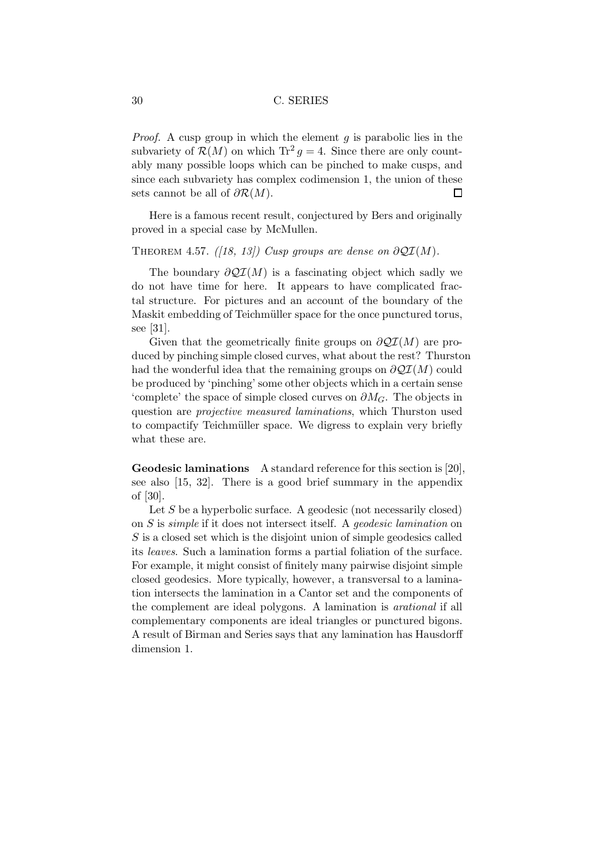*Proof.* A cusp group in which the element  $g$  is parabolic lies in the subvariety of  $\mathcal{R}(M)$  on which  $\text{Tr}^2 g = 4$ . Since there are only countably many possible loops which can be pinched to make cusps, and since each subvariety has complex codimension 1, the union of these sets cannot be all of  $\partial \mathcal{R}(M)$ . □

Here is a famous recent result, conjectured by Bers and originally proved in a special case by McMullen.

#### THEOREM 4.57. ([18, 13]) Cusp groups are dense on  $\partial \mathcal{QI}(M)$ .

The boundary  $\partial \mathcal{Q}I(M)$  is a fascinating object which sadly we do not have time for here. It appears to have complicated fractal structure. For pictures and an account of the boundary of the Maskit embedding of Teichmüller space for the once punctured torus, see [31].

Given that the geometrically finite groups on  $\partial \mathcal{Q} \mathcal{I}(M)$  are produced by pinching simple closed curves, what about the rest? Thurston had the wonderful idea that the remaining groups on  $\partial \mathcal{QI}(M)$  could be produced by 'pinching' some other objects which in a certain sense 'complete' the space of simple closed curves on  $\partial M_G$ . The objects in question are projective measured laminations, which Thurston used to compactify Teichmüller space. We digress to explain very briefly what these are.

Geodesic laminations A standard reference for this section is [20], see also [15, 32]. There is a good brief summary in the appendix of [30].

Let  $S$  be a hyperbolic surface. A geodesic (not necessarily closed) on S is simple if it does not intersect itself. A geodesic lamination on S is a closed set which is the disjoint union of simple geodesics called its leaves. Such a lamination forms a partial foliation of the surface. For example, it might consist of finitely many pairwise disjoint simple closed geodesics. More typically, however, a transversal to a lamination intersects the lamination in a Cantor set and the components of the complement are ideal polygons. A lamination is arational if all complementary components are ideal triangles or punctured bigons. A result of Birman and Series says that any lamination has Hausdorff dimension 1.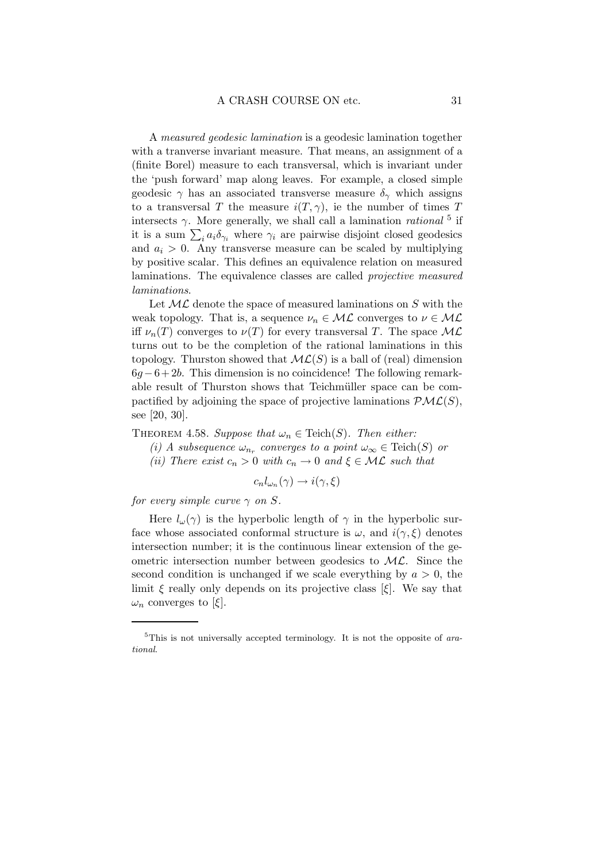A measured geodesic lamination is a geodesic lamination together with a tranverse invariant measure. That means, an assignment of a (finite Borel) measure to each transversal, which is invariant under the 'push forward' map along leaves. For example, a closed simple geodesic  $\gamma$  has an associated transverse measure  $\delta_{\gamma}$  which assigns to a transversal T the measure  $i(T, \gamma)$ , ie the number of times T intersects  $\gamma$ . More generally, we shall call a lamination *rational* <sup>5</sup> if it is a sum  $\sum_i a_i \delta_{\gamma_i}$  where  $\gamma_i$  are pairwise disjoint closed geodesics and  $a_i > 0$ . Any transverse measure can be scaled by multiplying by positive scalar. This defines an equivalence relation on measured laminations. The equivalence classes are called projective measured laminations.

Let  $ML$  denote the space of measured laminations on S with the weak topology. That is, a sequence  $\nu_n \in \mathcal{ML}$  converges to  $\nu \in \mathcal{ML}$ iff  $\nu_n(T)$  converges to  $\nu(T)$  for every transversal T. The space  $\mathcal{ML}$ turns out to be the completion of the rational laminations in this topology. Thurston showed that  $ML(S)$  is a ball of (real) dimension  $6g-6+2b$ . This dimension is no coincidence! The following remarkable result of Thurston shows that Teichmüller space can be compactified by adjoining the space of projective laminations  $\mathcal{PML}(S)$ , see [20, 30].

THEOREM 4.58. Suppose that  $\omega_n \in \text{Teich}(S)$ . Then either:

- (i) A subsequence  $\omega_{n_r}$  converges to a point  $\omega_{\infty} \in \text{Teich}(S)$  or
- (ii) There exist  $c_n > 0$  with  $c_n \to 0$  and  $\xi \in \mathcal{ML}$  such that

$$
c_n l_{\omega_n}(\gamma) \to i(\gamma, \xi)
$$

for every simple curve  $\gamma$  on S.

Here  $l_{\omega}(\gamma)$  is the hyperbolic length of  $\gamma$  in the hyperbolic surface whose associated conformal structure is  $\omega$ , and  $i(\gamma,\xi)$  denotes intersection number; it is the continuous linear extension of the geometric intersection number between geodesics to  $ML$ . Since the second condition is unchanged if we scale everything by  $a > 0$ , the limit  $\xi$  really only depends on its projective class  $\xi$ . We say that  $\omega_n$  converges to [ξ].

 $5$ This is not universally accepted terminology. It is not the opposite of arational.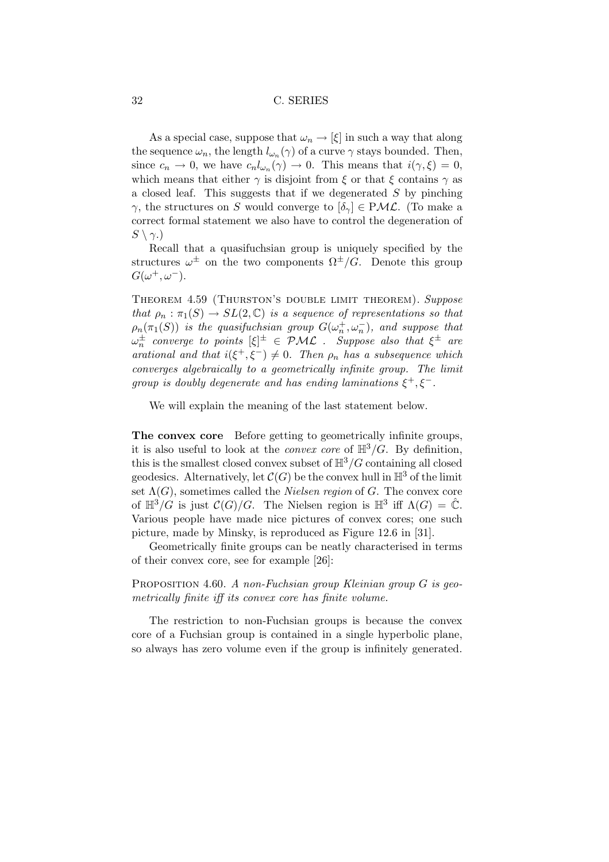As a special case, suppose that  $\omega_n \to [\xi]$  in such a way that along the sequence  $\omega_n$ , the length  $l_{\omega_n}(\gamma)$  of a curve  $\gamma$  stays bounded. Then, since  $c_n \to 0$ , we have  $c_n l_{\omega_n}(\gamma) \to 0$ . This means that  $i(\gamma, \xi) = 0$ , which means that either  $\gamma$  is disjoint from  $\xi$  or that  $\xi$  contains  $\gamma$  as a closed leaf. This suggests that if we degenerated  $S$  by pinching  $\gamma$ , the structures on S would converge to  $[\delta_{\gamma}] \in \mathcal{PML}$ . (To make a correct formal statement we also have to control the degeneration of  $S \setminus \gamma$ .)

Recall that a quasifuchsian group is uniquely specified by the structures  $\omega^{\pm}$  on the two components  $\Omega^{\pm}/G$ . Denote this group  $G(\omega^+,\omega^-).$ 

THEOREM 4.59 (THURSTON'S DOUBLE LIMIT THEOREM). Suppose that  $\rho_n : \pi_1(S) \to SL(2, \mathbb{C})$  is a sequence of representations so that  $\rho_n(\pi_1(S))$  is the quasifuchsian group  $G(\omega_n^+,\omega_n^-)$ , and suppose that  $\omega_n^{\pm}$  converge to points  $[\xi]^{\pm} \in \mathcal{PML}$  . Suppose also that  $\xi^{\pm}$  are arational and that  $i(\xi^+, \xi^-) \neq 0$ . Then  $\rho_n$  has a subsequence which converges algebraically to a geometrically infinite group. The limit group is doubly degenerate and has ending laminations  $\xi^+, \xi^-$ .

We will explain the meaning of the last statement below.

The convex core Before getting to geometrically infinite groups, it is also useful to look at the *convex core* of  $\mathbb{H}^3/G$ . By definition, this is the smallest closed convex subset of  $\mathbb{H}^3/G$  containing all closed geodesics. Alternatively, let  $C(G)$  be the convex hull in  $\mathbb{H}^3$  of the limit set  $\Lambda(G)$ , sometimes called the *Nielsen region* of G. The convex core of  $\mathbb{H}^3/G$  is just  $\mathcal{C}(G)/G$ . The Nielsen region is  $\mathbb{H}^3$  iff  $\Lambda(G) = \hat{\mathbb{C}}$ . Various people have made nice pictures of convex cores; one such picture, made by Minsky, is reproduced as Figure 12.6 in [31].

Geometrically finite groups can be neatly characterised in terms of their convex core, see for example [26]:

PROPOSITION 4.60. A non-Fuchsian group Kleinian group  $G$  is geometrically finite iff its convex core has finite volume.

The restriction to non-Fuchsian groups is because the convex core of a Fuchsian group is contained in a single hyperbolic plane, so always has zero volume even if the group is infinitely generated.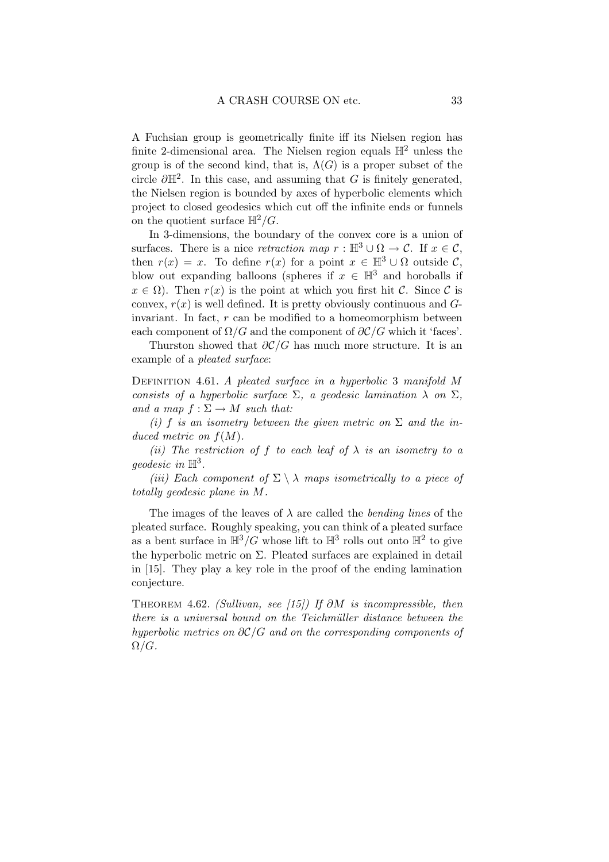A Fuchsian group is geometrically finite iff its Nielsen region has finite 2-dimensional area. The Nielsen region equals  $\mathbb{H}^2$  unless the group is of the second kind, that is,  $\Lambda(G)$  is a proper subset of the circle  $\partial \mathbb{H}^2$ . In this case, and assuming that G is finitely generated, the Nielsen region is bounded by axes of hyperbolic elements which project to closed geodesics which cut off the infinite ends or funnels on the quotient surface  $\mathbb{H}^2/G$ .

In 3-dimensions, the boundary of the convex core is a union of surfaces. There is a nice retraction map  $r : \mathbb{H}^3 \cup \Omega \to \mathcal{C}$ . If  $x \in \mathcal{C}$ , then  $r(x) = x$ . To define  $r(x)$  for a point  $x \in \mathbb{H}^3 \cup \Omega$  outside C, blow out expanding balloons (spheres if  $x \in \mathbb{H}^3$  and horoballs if  $x \in \Omega$ ). Then  $r(x)$  is the point at which you first hit C. Since C is convex,  $r(x)$  is well defined. It is pretty obviously continuous and  $G$ invariant. In fact,  $r$  can be modified to a homeomorphism between each component of  $\Omega/G$  and the component of  $\partial \mathcal{C}/G$  which it 'faces'.

Thurston showed that  $\partial \mathcal{C}/G$  has much more structure. It is an example of a pleated surface:

DEFINITION 4.61. A pleated surface in a hyperbolic 3 manifold M consists of a hyperbolic surface  $\Sigma$ , a geodesic lamination  $\lambda$  on  $\Sigma$ , and a map  $f : \Sigma \to M$  such that:

(i) f is an isometry between the given metric on  $\Sigma$  and the induced metric on  $f(M)$ .

(ii) The restriction of f to each leaf of  $\lambda$  is an isometry to a geodesic in  $\mathbb{H}^3$ .

(iii) Each component of  $\Sigma \setminus \lambda$  maps isometrically to a piece of totally geodesic plane in M.

The images of the leaves of  $\lambda$  are called the *bending lines* of the pleated surface. Roughly speaking, you can think of a pleated surface as a bent surface in  $\mathbb{H}^3/G$  whose lift to  $\mathbb{H}^3$  rolls out onto  $\mathbb{H}^2$  to give the hyperbolic metric on  $\Sigma$ . Pleated surfaces are explained in detail in [15]. They play a key role in the proof of the ending lamination conjecture.

THEOREM 4.62. (Sullivan, see [15]) If  $\partial M$  is incompressible, then there is a universal bound on the Teichmüller distance between the hyperbolic metrics on  $\partial \mathcal{C}/G$  and on the corresponding components of  $\Omega/G$ .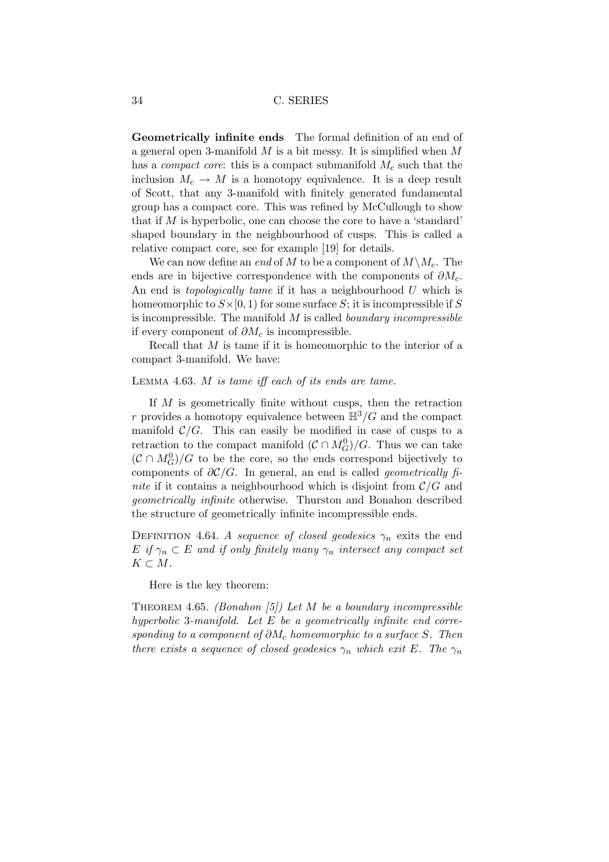Geometrically infinite ends The formal definition of an end of a general open 3-manifold  $M$  is a bit messy. It is simplified when  $M$ has a *compact core*: this is a compact submanifold  $M_c$  such that the inclusion  $M_c \to M$  is a homotopy equivalence. It is a deep result of Scott, that any 3-manifold with finitely generated fundamental group has a compact core. This was refined by McCullough to show that if  $M$  is hyperbolic, one can choose the core to have a 'standard' shaped boundary in the neighbourhood of cusps. This is called a relative compact core, see for example [19] for details.

We can now define an end of M to be a component of  $M\setminus M_c$ . The ends are in bijective correspondence with the components of  $\partial M_c$ . An end is *topologically tame* if it has a neighbourhood  $U$  which is homeomorphic to  $S\times[0,1)$  for some surface S; it is incompressible if S is incompressible. The manifold  $M$  is called boundary incompressible if every component of  $\partial M_c$  is incompressible.

Recall that  $M$  is tame if it is homeomorphic to the interior of a compact 3-manifold. We have:

#### Lemma 4.63. M is tame iff each of its ends are tame.

If M is geometrically finite without cusps, then the retraction r provides a homotopy equivalence between  $\mathbb{H}^3/G$  and the compact manifold  $C/G$ . This can easily be modified in case of cusps to a retraction to the compact manifold  $(C \cap M_G^0)/G$ . Thus we can take  $(C \cap M_G^0)/G$  to be the core, so the ends correspond bijectively to components of  $\partial \mathcal{C}/G$ . In general, an end is called *geometrically fi*nite if it contains a neighbourhood which is disjoint from  $\mathcal{C}/G$  and geometrically infinite otherwise. Thurston and Bonahon described the structure of geometrically infinite incompressible ends.

DEFINITION 4.64. A sequence of closed geodesics  $\gamma_n$  exits the end  $E$  if  $\gamma_n \subset E$  and if only finitely many  $\gamma_n$  intersect any compact set  $K \subset M$ .

Here is the key theorem:

THEOREM 4.65. (Bonahon [5]) Let M be a boundary incompressible hyperbolic 3-manifold. Let  $E$  be a geometrically infinite end corresponding to a component of  $\partial M_c$  homeomorphic to a surface S. Then there exists a sequence of closed geodesics  $\gamma_n$  which exit E. The  $\gamma_n$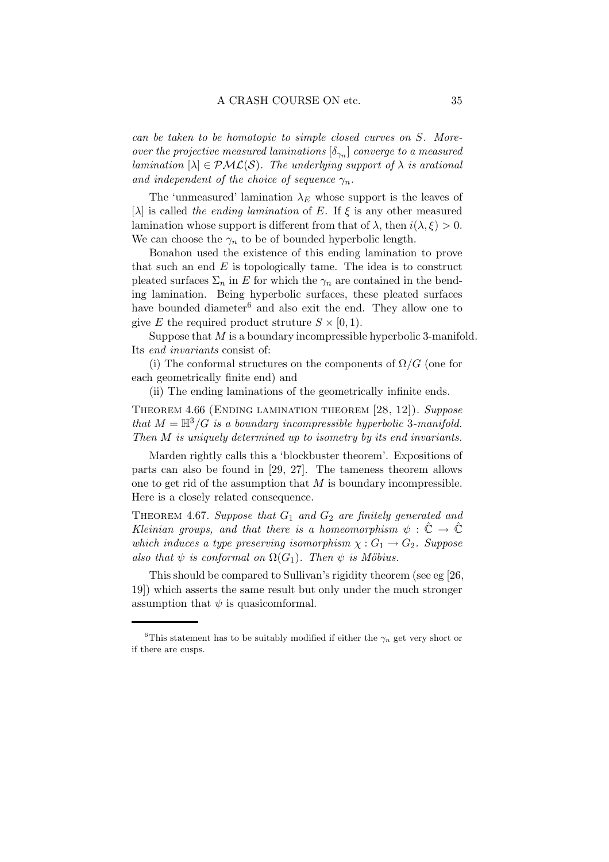can be taken to be homotopic to simple closed curves on S. Moreover the projective measured laminations  $[\delta_{\gamma_n}]$  converge to a measured lamination  $[\lambda] \in \mathcal{PML}(S)$ . The underlying support of  $\lambda$  is arational and independent of the choice of sequence  $\gamma_n$ .

The 'unmeasured' lamination  $\lambda_E$  whose support is the leaves of [ $\lambda$ ] is called the ending lamination of E. If  $\xi$  is any other measured lamination whose support is different from that of  $\lambda$ , then  $i(\lambda, \xi) > 0$ . We can choose the  $\gamma_n$  to be of bounded hyperbolic length.

Bonahon used the existence of this ending lamination to prove that such an end  $E$  is topologically tame. The idea is to construct pleated surfaces  $\Sigma_n$  in E for which the  $\gamma_n$  are contained in the bending lamination. Being hyperbolic surfaces, these pleated surfaces have bounded diameter<sup>6</sup> and also exit the end. They allow one to give E the required product struture  $S \times [0, 1)$ .

Suppose that M is a boundary incompressible hyperbolic 3-manifold. Its end invariants consist of:

(i) The conformal structures on the components of  $\Omega/G$  (one for each geometrically finite end) and

(ii) The ending laminations of the geometrically infinite ends.

Theorem 4.66 (Ending lamination theorem [28, 12]). Suppose that  $M = \mathbb{H}^3/G$  is a boundary incompressible hyperbolic 3-manifold. Then M is uniquely determined up to isometry by its end invariants.

Marden rightly calls this a 'blockbuster theorem'. Expositions of parts can also be found in [29, 27]. The tameness theorem allows one to get rid of the assumption that  $M$  is boundary incompressible. Here is a closely related consequence.

THEOREM 4.67. Suppose that  $G_1$  and  $G_2$  are finitely generated and Kleinian groups, and that there is a homeomorphism  $\psi : \tilde{\mathbb{C}} \to \tilde{\mathbb{C}}$ which induces a type preserving isomorphism  $\chi: G_1 \to G_2$ . Suppose also that  $\psi$  is conformal on  $\Omega(G_1)$ . Then  $\psi$  is Möbius.

This should be compared to Sullivan's rigidity theorem (see eg [26, 19]) which asserts the same result but only under the much stronger assumption that  $\psi$  is quasicomformal.

<sup>&</sup>lt;sup>6</sup>This statement has to be suitably modified if either the  $\gamma_n$  get very short or if there are cusps.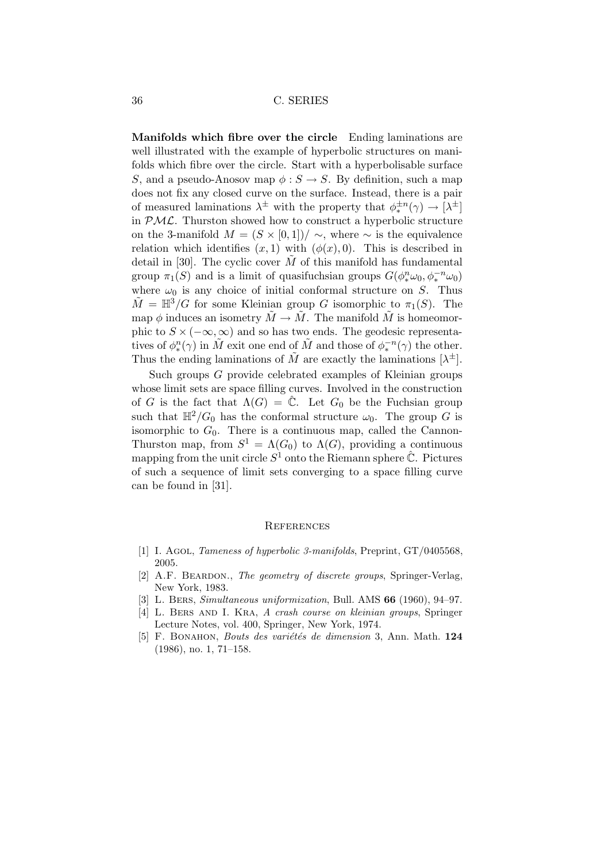Manifolds which fibre over the circle Ending laminations are well illustrated with the example of hyperbolic structures on manifolds which fibre over the circle. Start with a hyperbolisable surface S, and a pseudo-Anosov map  $\phi : S \to S$ . By definition, such a map does not fix any closed curve on the surface. Instead, there is a pair of measured laminations  $\lambda^{\pm}$  with the property that  $\phi_*^{\pm n}(\gamma) \to [\lambda^{\pm}]$ in  $PML$ . Thurston showed how to construct a hyperbolic structure on the 3-manifold  $M = (S \times [0,1]) / \sim$ , where  $\sim$  is the equivalence relation which identifies  $(x, 1)$  with  $(\phi(x), 0)$ . This is described in detail in [30]. The cyclic cover  $\tilde{M}$  of this manifold has fundamental group  $\pi_1(S)$  and is a limit of quasifuchsian groups  $G(\phi_*^n \omega_0, \phi_*^{-n} \omega_0)$ where  $\omega_0$  is any choice of initial conformal structure on S. Thus  $\tilde{M} = \mathbb{H}^3/G$  for some Kleinian group G isomorphic to  $\pi_1(S)$ . The map  $\phi$  induces an isometry  $\tilde{M} \to \tilde{M}$ . The manifold  $\tilde{M}$  is homeomorphic to  $S \times (-\infty, \infty)$  and so has two ends. The geodesic representatives of  $\phi_*^n(\gamma)$  in  $\tilde{M}$  exit one end of  $\tilde{M}$  and those of  $\phi_*^{-n}(\gamma)$  the other. Thus the ending laminations of  $\tilde{M}$  are exactly the laminations  $[\lambda^{\pm}]$ .

Such groups G provide celebrated examples of Kleinian groups whose limit sets are space filling curves. Involved in the construction of G is the fact that  $\Lambda(G) = \hat{\mathbb{C}}$ . Let  $G_0$  be the Fuchsian group such that  $\mathbb{H}^2/G_0$  has the conformal structure  $\omega_0$ . The group G is isomorphic to  $G_0$ . There is a continuous map, called the Cannon-Thurston map, from  $S^1 = \Lambda(G_0)$  to  $\Lambda(G)$ , providing a continuous mapping from the unit circle  $S^1$  onto the Riemann sphere  $\hat{\mathbb{C}}$ . Pictures of such a sequence of limit sets converging to a space filling curve can be found in [31].

#### **REFERENCES**

- [1] I. AGOL, *Tameness of hyperbolic 3-manifolds*, Preprint, GT/0405568, 2005.
- [2] A.F. BEARDON., The geometry of discrete groups, Springer-Verlag, New York, 1983.
- [3] L. Bers, Simultaneous uniformization, Bull. AMS 66 (1960), 94–97.
- [4] L. BERS AND I. KRA, A crash course on kleinian groups, Springer Lecture Notes, vol. 400, Springer, New York, 1974.
- [5] F. BONAHON, *Bouts des variétés de dimension* 3, Ann. Math. 124 (1986), no. 1, 71–158.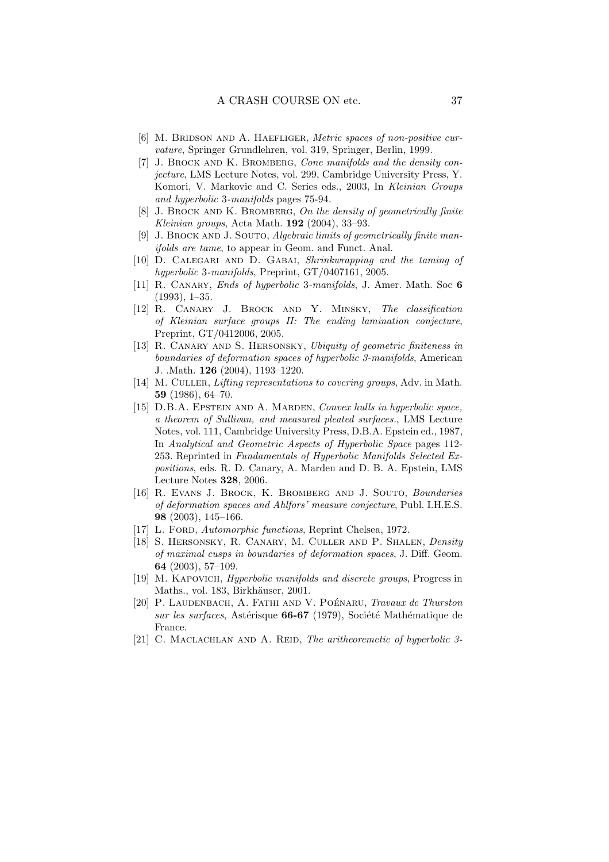- [6] M. BRIDSON AND A. HAEFLIGER, Metric spaces of non-positive curvature, Springer Grundlehren, vol. 319, Springer, Berlin, 1999.
- [7] J. BROCK AND K. BROMBERG, Cone manifolds and the density conjecture, LMS Lecture Notes, vol. 299, Cambridge University Press, Y. Komori, V. Markovic and C. Series eds., 2003, In Kleinian Groups and hyperbolic 3-manifolds pages 75-94.
- [8] J. BROCK AND K. BROMBERG, On the density of geometrically finite Kleinian groups, Acta Math. 192 (2004), 33–93.
- [9] J. BROCK AND J. SOUTO, *Algebraic limits of geometrically finite man*ifolds are tame, to appear in Geom. and Funct. Anal.
- [10] D. Calegari and D. Gabai, Shrinkwrapping and the taming of hyperbolic 3-manifolds, Preprint, GT/0407161, 2005.
- [11] R. CANARY, *Ends of hyperbolic* 3-manifolds, J. Amer. Math. Soc 6 (1993), 1–35.
- [12] R. Canary J. Brock and Y. Minsky, The classification of Kleinian surface groups II: The ending lamination conjecture, Preprint, GT/0412006, 2005.
- [13] R. CANARY AND S. HERSONSKY, Ubiquity of geometric finiteness in boundaries of deformation spaces of hyperbolic 3-manifolds, American J. .Math. 126 (2004), 1193–1220.
- [14] M. CULLER, Lifting representations to covering groups, Adv. in Math. 59 (1986), 64–70.
- [15] D.B.A. EPSTEIN AND A. MARDEN, Convex hulls in hyperbolic space, a theorem of Sullivan, and measured pleated surfaces., LMS Lecture Notes, vol. 111, Cambridge University Press, D.B.A. Epstein ed., 1987, In Analytical and Geometric Aspects of Hyperbolic Space pages 112- 253. Reprinted in Fundamentals of Hyperbolic Manifolds Selected Expositions, eds. R. D. Canary, A. Marden and D. B. A. Epstein, LMS Lecture Notes 328, 2006.
- [16] R. Evans J. Brock, K. Bromberg and J. Souto, Boundaries of deformation spaces and Ahlfors' measure conjecture, Publ. I.H.E.S. 98 (2003), 145–166.
- [17] L. FORD, Automorphic functions, Reprint Chelsea, 1972.
- [18] S. HERSONSKY, R. CANARY, M. CULLER AND P. SHALEN, Density of maximal cusps in boundaries of deformation spaces, J. Diff. Geom. 64 (2003), 57–109.
- [19] M. Kapovich, Hyperbolic manifolds and discrete groups, Progress in Maths., vol. 183, Birkhäuser, 2001.
- [20] P. LAUDENBACH, A. FATHI AND V. POÉNARU, Travaux de Thurston sur les surfaces, Astérisque 66-67 (1979), Société Mathématique de France.
- [21] C. MACLACHLAN AND A. REID, The aritheoremetic of hyperbolic 3-